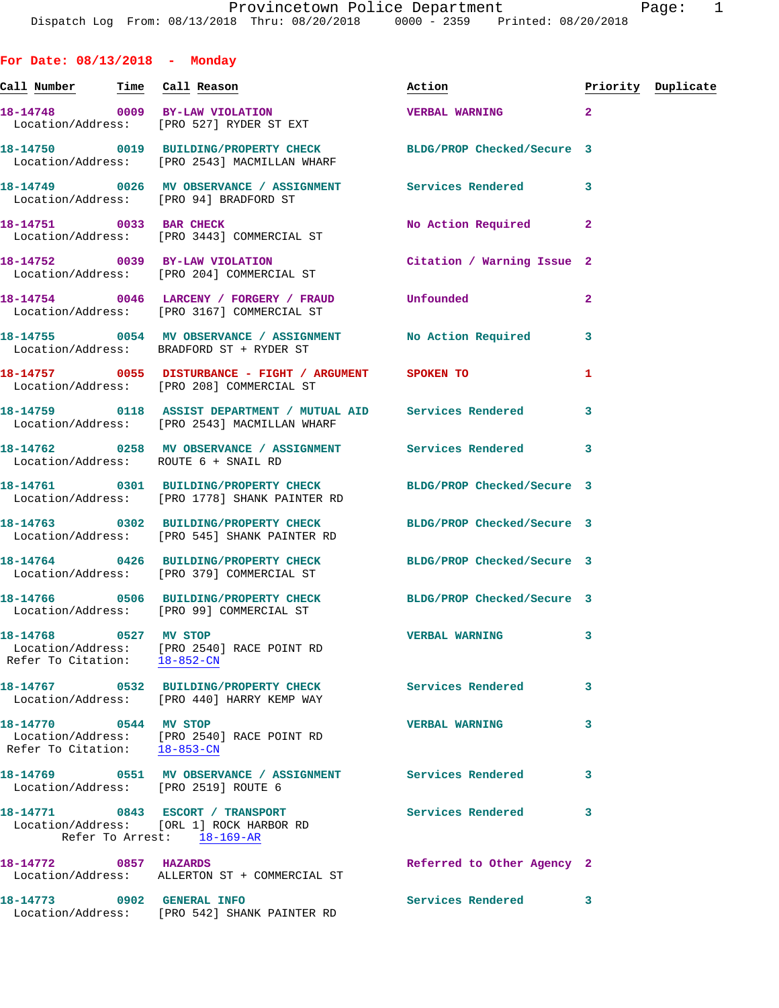| For Date: $08/13/2018$ - Monday                       |                                                                                                                        |                                   |                |                    |
|-------------------------------------------------------|------------------------------------------------------------------------------------------------------------------------|-----------------------------------|----------------|--------------------|
| <u>Call Number — Time Call Reason</u>                 |                                                                                                                        | Action                            |                | Priority Duplicate |
|                                                       | 18-14748 0009 BY-LAW VIOLATION<br>Location/Address: [PRO 527] RYDER ST EXT                                             | $\sim$ 2<br><b>VERBAL WARNING</b> |                |                    |
|                                                       | 18-14750 0019 BUILDING/PROPERTY CHECK BLDG/PROP Checked/Secure 3<br>Location/Address: [PRO 2543] MACMILLAN WHARF       |                                   |                |                    |
|                                                       | 18-14749 0026 MV OBSERVANCE / ASSIGNMENT Services Rendered<br>Location/Address: [PRO 94] BRADFORD ST                   |                                   | 3              |                    |
| 18-14751 0033 BAR CHECK                               | Location/Address: [PRO 3443] COMMERCIAL ST                                                                             | No Action Required                | $\mathbf{2}$   |                    |
|                                                       | 18-14752 0039 BY-LAW VIOLATION<br>Location/Address: [PRO 204] COMMERCIAL ST                                            | Citation / Warning Issue 2        |                |                    |
|                                                       | 18-14754 0046 LARCENY / FORGERY / FRAUD Unfounded<br>Location/Address: [PRO 3167] COMMERCIAL ST                        |                                   | $\overline{a}$ |                    |
|                                                       | 18-14755 0054 MV OBSERVANCE / ASSIGNMENT No Action Required<br>Location/Address: BRADFORD ST + RYDER ST                |                                   | 3              |                    |
|                                                       | Location/Address: [PRO 208] COMMERCIAL ST                                                                              |                                   | 1              |                    |
|                                                       | 18-14759      0118 ASSIST DEPARTMENT / MUTUAL AID    Services Rendered<br>Location/Address: [PRO 2543] MACMILLAN WHARF |                                   | 3              |                    |
|                                                       | 18-14762 0258 MV OBSERVANCE / ASSIGNMENT Services Rendered<br>Location/Address: ROUTE 6 + SNAIL RD                     |                                   | 3              |                    |
|                                                       | 18-14761 0301 BUILDING/PROPERTY CHECK BLDG/PROP Checked/Secure 3<br>Location/Address: [PRO 1778] SHANK PAINTER RD      |                                   |                |                    |
|                                                       | 18-14763 0302 BUILDING/PROPERTY CHECK BLDG/PROP Checked/Secure 3<br>Location/Address: [PRO 545] SHANK PAINTER RD       |                                   |                |                    |
|                                                       | 18-14764 0426 BUILDING/PROPERTY CHECK BLDG/PROP Checked/Secure 3<br>Location/Address: [PRO 379] COMMERCIAL ST          |                                   |                |                    |
|                                                       | 18-14766 0506 BUILDING/PROPERTY CHECK<br>Location/Address: [PRO 99] COMMERCIAL ST                                      | BLDG/PROP Checked/Secure 3        |                |                    |
| 18-14768 0527 MV STOP                                 | Location/Address: [PRO 2540] RACE POINT RD<br>Refer To Citation: 18-852-CN                                             | <b>VERBAL WARNING</b>             | 3              |                    |
|                                                       | 18-14767 0532 BUILDING/PROPERTY CHECK<br>Location/Address: [PRO 440] HARRY KEMP WAY                                    | <b>Services Rendered</b>          | 3              |                    |
| 18-14770 0544 MV STOP<br>Refer To Citation: 18-853-CN | Location/Address: [PRO 2540] RACE POINT RD                                                                             | <b>VERBAL WARNING</b>             | 3              |                    |
|                                                       | 18-14769 0551 MV OBSERVANCE / ASSIGNMENT Services Rendered<br>Location/Address: [PRO 2519] ROUTE 6                     |                                   | 3              |                    |
|                                                       | 18-14771 0843 ESCORT / TRANSPORT<br>Location/Address: [ORL 1] ROCK HARBOR RD<br>Refer To Arrest: 18-169-AR             | Services Rendered                 | 3              |                    |
| 18-14772 0857 HAZARDS                                 | Location/Address: ALLERTON ST + COMMERCIAL ST                                                                          | Referred to Other Agency 2        |                |                    |
| 18-14773 0902 GENERAL INFO                            |                                                                                                                        | Services Rendered 3               |                |                    |

Location/Address: [PRO 542] SHANK PAINTER RD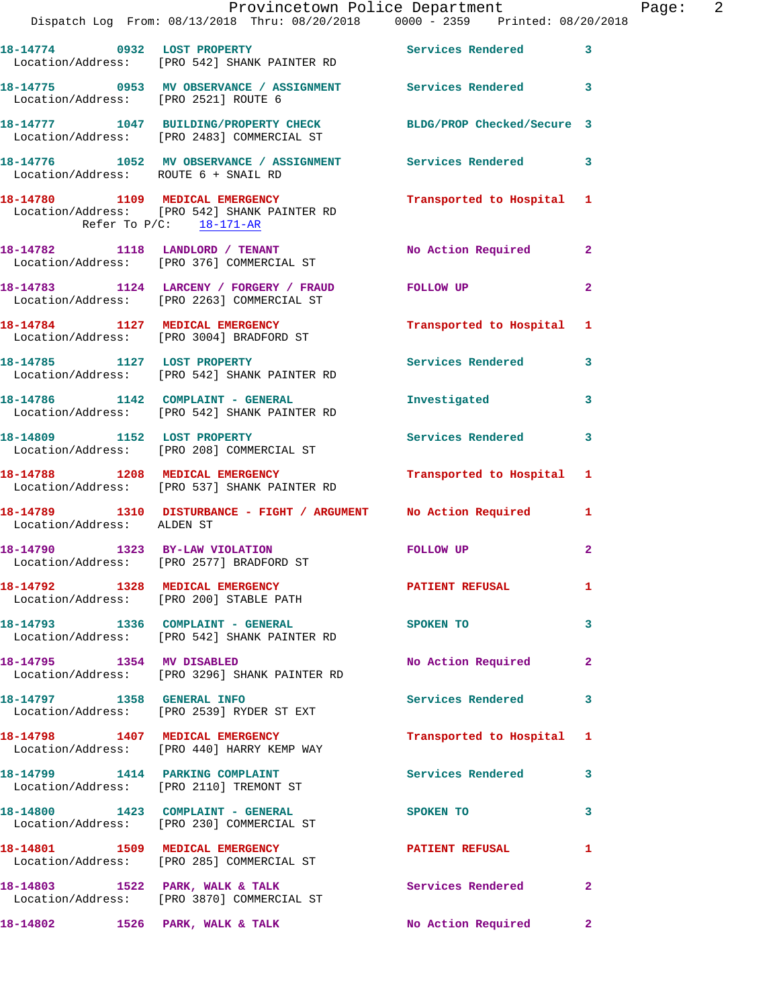|                                      | Provincetown Police Department<br>Dispatch Log From: 08/13/2018 Thru: 08/20/2018 0000 - 2359 Printed: 08/20/2018 |                           |                            | Page: 2 |  |
|--------------------------------------|------------------------------------------------------------------------------------------------------------------|---------------------------|----------------------------|---------|--|
|                                      | 18-14774 0932 LOST PROPERTY Services Rendered 3<br>Location/Address: [PRO 542] SHANK PAINTER RD                  |                           |                            |         |  |
| Location/Address: [PRO 2521] ROUTE 6 | 18-14775 0953 MV OBSERVANCE / ASSIGNMENT Services Rendered 3                                                     |                           |                            |         |  |
|                                      | 18-14777 1047 BUILDING/PROPERTY CHECK BLDG/PROP Checked/Secure 3<br>Location/Address: [PRO 2483] COMMERCIAL ST   |                           |                            |         |  |
| Location/Address: ROUTE 6 + SNAIL RD | 18-14776 1052 MV OBSERVANCE / ASSIGNMENT Services Rendered 3                                                     |                           |                            |         |  |
| Refer To $P/C$ : 18-171-AR           | 18-14780 1109 MEDICAL EMERGENCY<br>Location/Address: [PRO 542] SHANK PAINTER RD                                  | Transported to Hospital 1 |                            |         |  |
|                                      | 18-14782 1118 LANDLORD / TENANT<br>Location/Address: [PRO 376] COMMERCIAL ST                                     | No Action Required 2      |                            |         |  |
|                                      | 18-14783 1124 LARCENY / FORGERY / FRAUD FOLLOW UP<br>Location/Address: [PRO 2263] COMMERCIAL ST                  |                           | $\mathbf{2}$               |         |  |
|                                      | 18-14784 1127 MEDICAL EMERGENCY<br>Location/Address: [PRO 3004] BRADFORD ST                                      | Transported to Hospital 1 |                            |         |  |
|                                      | 18-14785 1127 LOST PROPERTY<br>Location/Address: [PRO 542] SHANK PAINTER RD                                      | Services Rendered 3       |                            |         |  |
|                                      | 18-14786 1142 COMPLAINT - GENERAL<br>Location/Address: [PRO 542] SHANK PAINTER RD                                | Investigated              | 3                          |         |  |
|                                      | 18-14809 1152 LOST PROPERTY<br>Location/Address: [PRO 208] COMMERCIAL ST                                         | Services Rendered 3       |                            |         |  |
|                                      | 18-14788 1208 MEDICAL EMERGENCY<br>Location/Address: [PRO 537] SHANK PAINTER RD                                  | Transported to Hospital 1 |                            |         |  |
| Location/Address: ALDEN ST           | 18-14789 1310 DISTURBANCE - FIGHT / ARGUMENT No Action Required 1                                                |                           |                            |         |  |
|                                      | 18-14790 1323 BY-LAW VIOLATION<br>Location/Address: [PRO 2577] BRADFORD ST                                       | FOLLOW UP                 | $\mathbf{2}$               |         |  |
|                                      | 18-14792 1328 MEDICAL EMERGENCY<br>Location/Address: [PRO 200] STABLE PATH                                       | PATIENT REFUSAL 1         |                            |         |  |
|                                      | 18-14793 1336 COMPLAINT - GENERAL SPOKEN TO<br>Location/Address: [PRO 542] SHANK PAINTER RD                      |                           | $\overline{\phantom{a}}$ 3 |         |  |
| 18-14795 1354 MV DISABLED            | Location/Address: [PRO 3296] SHANK PAINTER RD                                                                    | No Action Required 2      |                            |         |  |
|                                      | 18-14797 1358 GENERAL INFO<br>Location/Address: [PRO 2539] RYDER ST EXT                                          | Services Rendered         | 3                          |         |  |
|                                      | 18-14798 1407 MEDICAL EMERGENCY<br>Location/Address: [PRO 440] HARRY KEMP WAY                                    | Transported to Hospital 1 |                            |         |  |
|                                      | 18-14799 1414 PARKING COMPLAINT<br>Location/Address: [PRO 2110] TREMONT ST                                       | Services Rendered 3       |                            |         |  |
|                                      | 18-14800 1423 COMPLAINT - GENERAL<br>Location/Address: [PRO 230] COMMERCIAL ST                                   | SPOKEN TO                 | 3                          |         |  |
|                                      | 18-14801 1509 MEDICAL EMERGENCY<br>Location/Address: [PRO 285] COMMERCIAL ST                                     | PATIENT REFUSAL 1         |                            |         |  |
|                                      | 18-14803 1522 PARK, WALK & TALK<br>Location/Address: [PRO 3870] COMMERCIAL ST                                    | Services Rendered         | $\mathbf{2}$               |         |  |
|                                      | 18-14802 1526 PARK, WALK & TALK                                                                                  | No Action Required 2      |                            |         |  |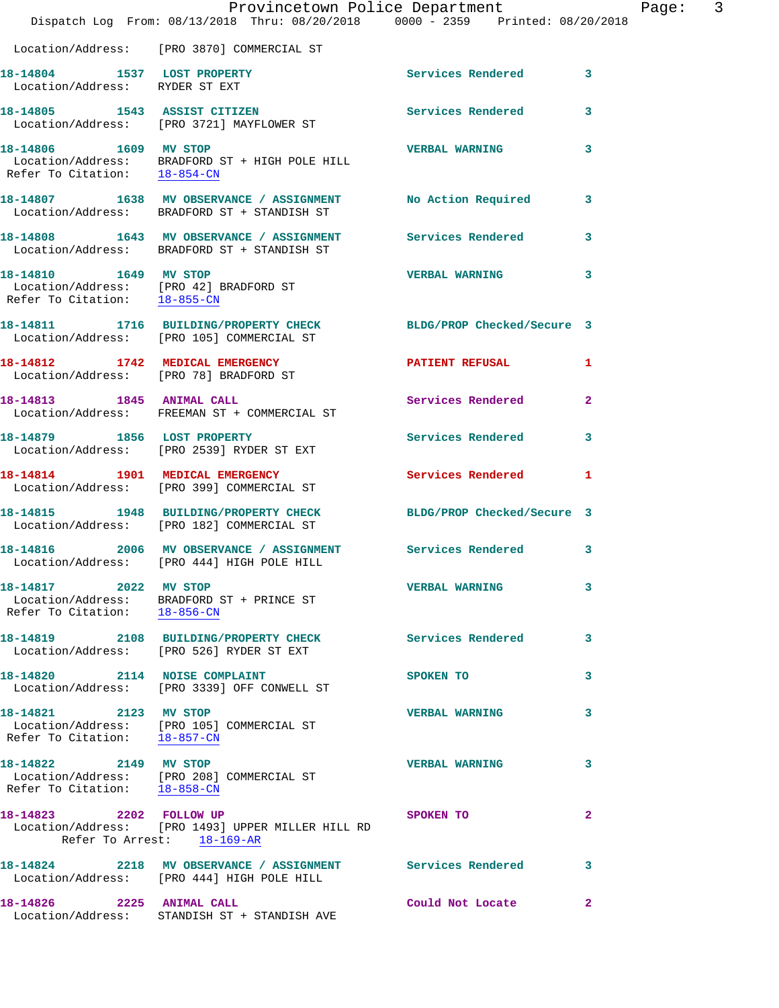|                                                               | Dispatch Log From: 08/13/2018 Thru: 08/20/2018 0000 - 2359 Printed: 08/20/2018                                | Provincetown Police Department |              | Page: 3 |  |
|---------------------------------------------------------------|---------------------------------------------------------------------------------------------------------------|--------------------------------|--------------|---------|--|
|                                                               | Location/Address: [PRO 3870] COMMERCIAL ST                                                                    |                                |              |         |  |
| 18-14804 1537 LOST PROPERTY<br>Location/Address: RYDER ST EXT |                                                                                                               | Services Rendered 3            |              |         |  |
|                                                               | 18-14805 1543 ASSIST CITIZEN<br>Location/Address: [PRO 3721] MAYFLOWER ST                                     | <b>Services Rendered</b>       | 3            |         |  |
| 18-14806 1609 MV STOP                                         | Location/Address: BRADFORD ST + HIGH POLE HILL Refer To Citation: $18-854$ -CN                                | <b>VERBAL WARNING</b>          | $\mathbf{3}$ |         |  |
|                                                               | 18-14807 1638 MV OBSERVANCE / ASSIGNMENT<br>Location/Address: BRADFORD ST + STANDISH ST                       | No Action Required             | 3            |         |  |
|                                                               | 18-14808 1643 MV OBSERVANCE / ASSIGNMENT Services Rendered<br>Location/Address: BRADFORD ST + STANDISH ST     |                                | $\mathbf{3}$ |         |  |
| 18-14810 1649 MV STOP                                         | Location/Address: [PRO 42] BRADFORD ST<br>Refer To Citation: $\frac{18-855-CN}{\ }$                           | VERBAL WARNING 3               |              |         |  |
|                                                               | 18-14811 1716 BUILDING/PROPERTY CHECK BLDG/PROP Checked/Secure 3<br>Location/Address: [PRO 105] COMMERCIAL ST |                                |              |         |  |
|                                                               | 18-14812 1742 MEDICAL EMERGENCY<br>Location/Address: [PRO 78] BRADFORD ST                                     | <b>PATIENT REFUSAL</b>         | $\mathbf{1}$ |         |  |
|                                                               | 18-14813 1845 ANIMAL CALL<br>Location/Address: FREEMAN ST + COMMERCIAL ST                                     | Services Rendered              | $\mathbf{2}$ |         |  |
| 18-14879 1856 LOST PROPERTY                                   | Location/Address: [PRO 2539] RYDER ST EXT                                                                     | Services Rendered              | 3            |         |  |
|                                                               | 18-14814 1901 MEDICAL EMERGENCY<br>Location/Address: [PRO 399] COMMERCIAL ST                                  | Services Rendered              | 1            |         |  |
|                                                               | 18-14815 1948 BUILDING/PROPERTY CHECK<br>Location/Address: [PRO 182] COMMERCIAL ST                            | BLDG/PROP Checked/Secure 3     |              |         |  |
|                                                               | 18-14816 2006 MV OBSERVANCE / ASSIGNMENT Services Rendered<br>Location/Address: [PRO 444] HIGH POLE HILL      |                                | 3            |         |  |
| 18-14817 2022 MV STOP<br>Refer To Citation: 18-856-CN         | Location/Address: BRADFORD ST + PRINCE ST                                                                     | <b>VERBAL WARNING</b>          | 3            |         |  |
|                                                               | 18-14819 2108 BUILDING/PROPERTY CHECK<br>Location/Address: [PRO 526] RYDER ST EXT                             | <b>Services Rendered</b>       | 3            |         |  |
| 18-14820 2114 NOISE COMPLAINT                                 | Location/Address: [PRO 3339] OFF CONWELL ST                                                                   | SPOKEN TO                      | 3            |         |  |
| 18-14821 2123 MV STOP<br>Refer To Citation: 18-857-CN         | Location/Address: [PRO 105] COMMERCIAL ST                                                                     | <b>VERBAL WARNING</b>          | 3            |         |  |
| 18-14822 2149 MV STOP<br>Refer To Citation: 18-858-CN         | Location/Address: [PRO 208] COMMERCIAL ST                                                                     | <b>VERBAL WARNING</b>          | 3            |         |  |
| 18-14823 2202 FOLLOW UP                                       | Location/Address: [PRO 1493] UPPER MILLER HILL RD<br>Refer To Arrest: 18-169-AR                               | SPOKEN TO                      | 2            |         |  |
|                                                               | 18-14824 2218 MV OBSERVANCE / ASSIGNMENT Services Rendered<br>Location/Address: [PRO 444] HIGH POLE HILL      |                                | 3            |         |  |
| 18-14826 2225 ANIMAL CALL<br>Location/Address:                | STANDISH ST + STANDISH AVE                                                                                    | Could Not Locate               | $\mathbf{2}$ |         |  |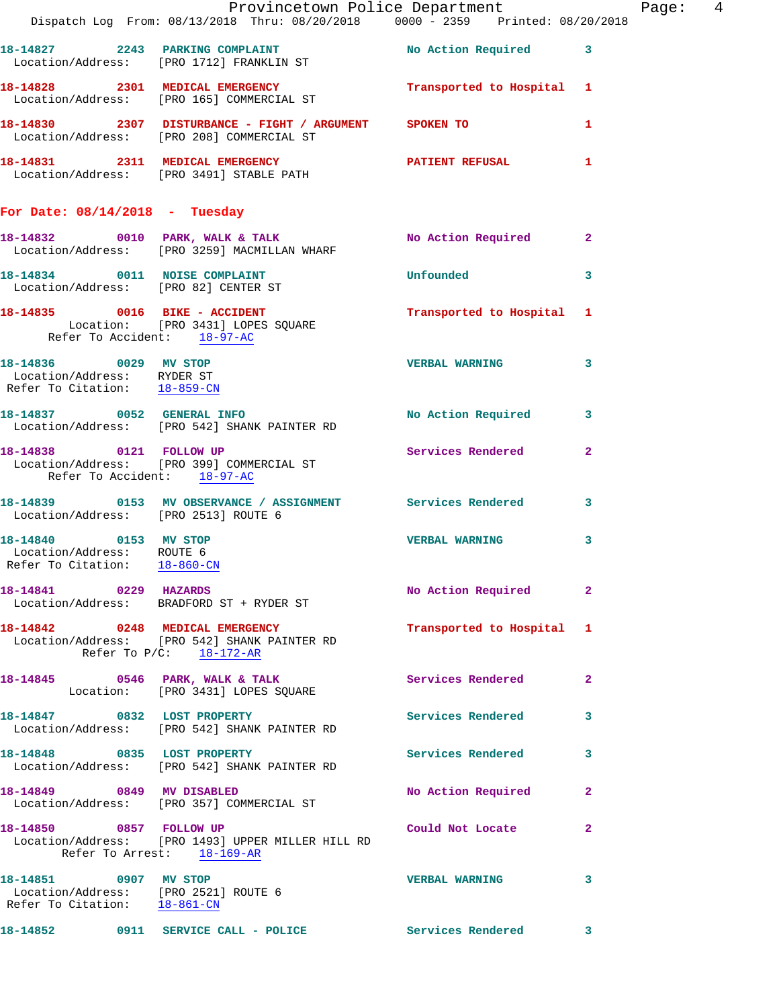|                                                                                               |                                                                                                                                 | Provincetown Police Department |                            | Page:  4 |  |
|-----------------------------------------------------------------------------------------------|---------------------------------------------------------------------------------------------------------------------------------|--------------------------------|----------------------------|----------|--|
|                                                                                               | Dispatch Log From: 08/13/2018 Thru: 08/20/2018 0000 - 2359 Printed: 08/20/2018                                                  |                                |                            |          |  |
|                                                                                               | 18-14827 2243 PARKING COMPLAINT No Action Required 3<br>Location/Address: [PRO 1712] FRANKLIN ST                                |                                |                            |          |  |
|                                                                                               | 18-14828 2301 MEDICAL EMERGENCY Transported to Hospital 1<br>Location/Address: [PRO 165] COMMERCIAL ST                          |                                |                            |          |  |
|                                                                                               | 18-14830 2307 DISTURBANCE - FIGHT / ARGUMENT SPOKEN TO<br>Location/Address: [PRO 208] COMMERCIAL ST                             |                                | $\mathbf{1}$               |          |  |
|                                                                                               | 18-14831 2311 MEDICAL EMERGENCY PATIENT REFUSAL 1<br>Location/Address: [PRO 3491] STABLE PATH                                   |                                |                            |          |  |
| For Date: $08/14/2018$ - Tuesday                                                              |                                                                                                                                 |                                |                            |          |  |
|                                                                                               | 18-14832 0010 PARK, WALK & TALK NARR NO Action Required 2<br>Location/Address: [PRO 3259] MACMILLAN WHARF                       |                                |                            |          |  |
|                                                                                               | 18-14834 0011 NOISE COMPLAINT<br>Location/Address: [PRO 82] CENTER ST                                                           | <b>Unfounded</b>               | $\overline{\phantom{a}}$ 3 |          |  |
|                                                                                               | 18-14835 0016 BIKE - ACCIDENT Transported to Hospital 1<br>Location: [PRO 3431] LOPES SQUARE<br>Refer To Accident: 18-97-AC     |                                |                            |          |  |
| Location/Address: RYDER ST<br>Refer To Citation: 18-859-CN                                    | $\begin{array}{ccccccccc}\n 18-14836 & & & & 0029 & & & & \text{MV STOP} & & & & \text{VERBAL WARNING} & & & & 3\n \end{array}$ |                                |                            |          |  |
|                                                                                               | 18-14837 0052 GENERAL INFO<br>Location/Address: [PRO 542] SHANK PAINTER RD                                                      | No Action Required             | $\mathbf{3}$               |          |  |
| Refer To Accident: 18-97-AC                                                                   | 18-14838 0121 FOLLOW UP Services Rendered<br>Location/Address: [PRO 399] COMMERCIAL ST                                          |                                | $\overline{2}$             |          |  |
| Location/Address: [PRO 2513] ROUTE 6                                                          | 18-14839 0153 MV OBSERVANCE / ASSIGNMENT Services Rendered 3                                                                    |                                |                            |          |  |
| 18-14840 0153 MV STOP<br>Location/Address: ROUTE 6<br>Refer To Citation: 18-860-CN            |                                                                                                                                 | <b>VERBAL WARNING</b>          | $\mathbf{3}$               |          |  |
| 18-14841 0229 HAZARDS                                                                         | Location/Address: BRADFORD ST + RYDER ST                                                                                        | No Action Required 2           |                            |          |  |
| Refer To P/C: 18-172-AR                                                                       | 18-14842 0248 MEDICAL EMERGENCY<br>Location/Address: [PRO 542] SHANK PAINTER RD                                                 | Transported to Hospital 1      |                            |          |  |
|                                                                                               | 18-14845 0546 PARK, WALK & TALK<br>Location: [PRO 3431] LOPES SQUARE                                                            | Services Rendered              | $\mathbf{2}$               |          |  |
|                                                                                               | 18-14847 0832 LOST PROPERTY<br>Location/Address: [PRO 542] SHANK PAINTER RD                                                     | Services Rendered              | 3                          |          |  |
|                                                                                               | 18-14848 0835 LOST PROPERTY<br>Location/Address: [PRO 542] SHANK PAINTER RD                                                     | Services Rendered 3            |                            |          |  |
|                                                                                               | 18-14849 0849 MV DISABLED<br>Location/Address: [PRO 357] COMMERCIAL ST                                                          | No Action Required             | $\overline{2}$             |          |  |
| 18-14850 0857 FOLLOW UP                                                                       | Location/Address: [PRO 1493] UPPER MILLER HILL RD<br>Refer To Arrest: 18-169-AR                                                 | Could Not Locate 2             |                            |          |  |
| 18-14851 0907 MV STOP<br>Location/Address: [PRO 2521] ROUTE 6<br>Refer To Citation: 18-861-CN |                                                                                                                                 | <b>VERBAL WARNING</b>          | 3                          |          |  |
|                                                                                               | 18-14852 0911 SERVICE CALL - POLICE                                                                                             | Services Rendered 3            |                            |          |  |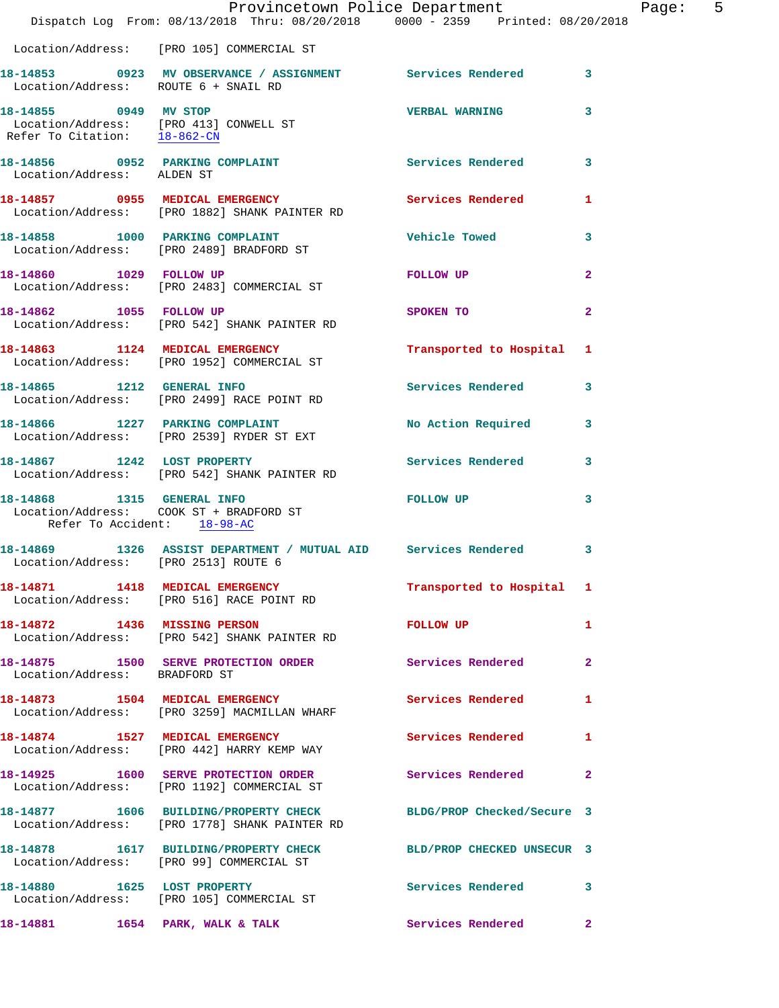|                                      | Provincetown Police Department<br>Dispatch Log From: 08/13/2018 Thru: 08/20/2018 0000 - 2359 Printed: 08/20/2018  |                           | Page: 5                 |
|--------------------------------------|-------------------------------------------------------------------------------------------------------------------|---------------------------|-------------------------|
|                                      | Location/Address: [PRO 105] COMMERCIAL ST                                                                         |                           |                         |
|                                      | 18-14853  0923  MV OBSERVANCE / ASSIGNMENT  Services Rendered  3<br>Location/Address: ROUTE 6 + SNAIL RD          |                           |                         |
| Refer To Citation: 18-862-CN         | 18-14855 0949 MV STOP<br>Location/Address: [PRO 413] CONWELL ST                                                   | <b>VERBAL WARNING</b>     | 3                       |
| Location/Address: ALDEN ST           | 18-14856 0952 PARKING COMPLAINT Services Rendered 3                                                               |                           |                         |
|                                      | 18-14857 0955 MEDICAL EMERGENCY Services Rendered<br>Location/Address: [PRO 1882] SHANK PAINTER RD                |                           | -1                      |
|                                      | 18-14858 1000 PARKING COMPLAINT<br>Location/Address: [PRO 2489] BRADFORD ST                                       | Vehicle Towed             | 3                       |
|                                      | 18-14860 1029 FOLLOW UP<br>Location/Address: [PRO 2483] COMMERCIAL ST                                             | FOLLOW UP                 | $\mathbf{2}$            |
| 18-14862 1055 FOLLOW UP              | Location/Address: [PRO 542] SHANK PAINTER RD                                                                      | SPOKEN TO                 | $\overline{2}$          |
|                                      | 18-14863 1124 MEDICAL EMERGENCY<br>Location/Address: [PRO 1952] COMMERCIAL ST                                     | Transported to Hospital 1 |                         |
|                                      | 18-14865 1212 GENERAL INFO<br>Location/Address: [PRO 2499] RACE POINT RD                                          | Services Rendered         | 3                       |
|                                      | 18-14866 1227 PARKING COMPLAINT<br>Location/Address: [PRO 2539] RYDER ST EXT                                      | No Action Required 3      |                         |
|                                      | 18-14867 1242 LOST PROPERTY<br>Location/Address: [PRO 542] SHANK PAINTER RD                                       | <b>Services Rendered</b>  | $\overline{\mathbf{3}}$ |
| Refer To Accident: 18-98-AC          | 18-14868 1315 GENERAL INFO<br>Location/Address: COOK ST + BRADFORD ST                                             | FOLLOW UP                 | 3                       |
| Location/Address: [PRO 2513] ROUTE 6 | 18-14869 1326 ASSIST DEPARTMENT / MUTUAL AID Services Rendered                                                    |                           | 3                       |
|                                      | 18-14871 1418 MEDICAL EMERGENCY<br>Location/Address: [PRO 516] RACE POINT RD                                      | Transported to Hospital 1 |                         |
| 18-14872 1436 MISSING PERSON         | Location/Address: [PRO 542] SHANK PAINTER RD                                                                      | FOLLOW UP                 | 1                       |
| Location/Address: BRADFORD ST        | 18-14875 1500 SERVE PROTECTION ORDER Services Rendered                                                            |                           | $\mathbf{2}$            |
|                                      | 18-14873 1504 MEDICAL EMERGENCY<br>Location/Address: [PRO 3259] MACMILLAN WHARF                                   | <b>Services Rendered</b>  | 1                       |
|                                      | 18-14874 1527 MEDICAL EMERGENCY<br>Location/Address: [PRO 442] HARRY KEMP WAY                                     | Services Rendered         | -1                      |
|                                      | 18-14925 1600 SERVE PROTECTION ORDER<br>Location/Address: [PRO 1192] COMMERCIAL ST                                | Services Rendered         | $\mathbf{2}$            |
|                                      | 18-14877 1606 BUILDING/PROPERTY CHECK BLDG/PROP Checked/Secure 3<br>Location/Address: [PRO 1778] SHANK PAINTER RD |                           |                         |
|                                      | 18-14878 1617 BUILDING/PROPERTY CHECK BLD/PROP CHECKED UNSECUR 3<br>Location/Address: [PRO 99] COMMERCIAL ST      |                           |                         |
|                                      | 18-14880 1625 LOST PROPERTY<br>Location/Address: [PRO 105] COMMERCIAL ST                                          | Services Rendered 3       |                         |
|                                      | 18-14881 1654 PARK, WALK & TALK                                                                                   | Services Rendered         | $\mathbf{2}$            |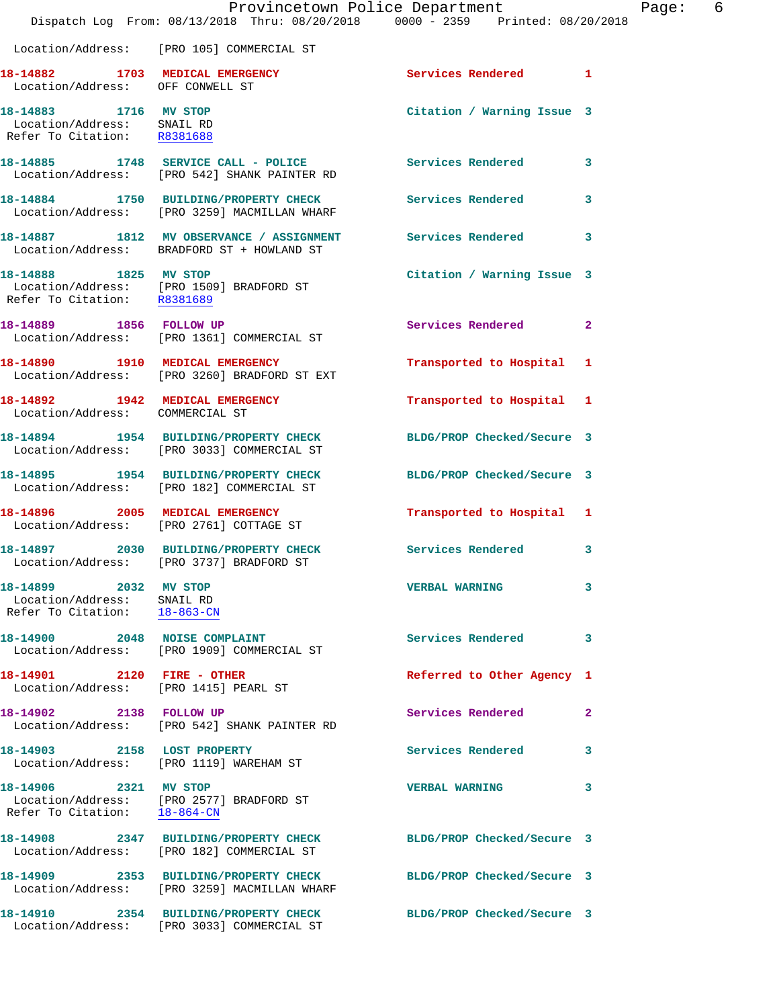|                                                                                     | Dispatch Log From: 08/13/2018 Thru: 08/20/2018 0000 - 2359 Printed: 08/20/2018                                   | Provincetown Police Department | Page: 6      |
|-------------------------------------------------------------------------------------|------------------------------------------------------------------------------------------------------------------|--------------------------------|--------------|
|                                                                                     | Location/Address: [PRO 105] COMMERCIAL ST                                                                        |                                |              |
| Location/Address: OFF CONWELL ST                                                    | 18-14882 1703 MEDICAL EMERGENCY Services Rendered 1                                                              |                                |              |
| 18-14883 1716 MV STOP<br>Location/Address: SNAIL RD<br>Refer To Citation: R8381688  |                                                                                                                  | Citation / Warning Issue 3     |              |
|                                                                                     | 18-14885 1748 SERVICE CALL - POLICE<br>Location/Address: [PRO 542] SHANK PAINTER RD                              | Services Rendered 3            |              |
|                                                                                     |                                                                                                                  |                                | $\mathbf{3}$ |
|                                                                                     | 18-14887 1812 MV OBSERVANCE / ASSIGNMENT Services Rendered<br>Location/Address: BRADFORD ST + HOWLAND ST         |                                | $\mathbf{3}$ |
| 18-14888 1825 MV STOP                                                               | Location/Address: [PRO 1509] BRADFORD ST<br>Refer To Citation: R8381689                                          | Citation / Warning Issue 3     |              |
|                                                                                     | 18-14889 1856 FOLLOW UP<br>Location/Address: [PRO 1361] COMMERCIAL ST                                            | Services Rendered 2            |              |
|                                                                                     | 18-14890 1910 MEDICAL EMERGENCY<br>Location/Address: [PRO 3260] BRADFORD ST EXT                                  | Transported to Hospital 1      |              |
| Location/Address: COMMERCIAL ST                                                     | 18-14892 1942 MEDICAL EMERGENCY                                                                                  | Transported to Hospital 1      |              |
|                                                                                     | 18-14894 1954 BUILDING/PROPERTY CHECK<br>Location/Address: [PRO 3033] COMMERCIAL ST                              | BLDG/PROP Checked/Secure 3     |              |
|                                                                                     | 18-14895 1954 BUILDING/PROPERTY CHECK<br>Location/Address: [PRO 182] COMMERCIAL ST                               | BLDG/PROP Checked/Secure 3     |              |
|                                                                                     | 18-14896 2005 MEDICAL EMERGENCY<br>Location/Address: [PRO 2761] COTTAGE ST                                       | Transported to Hospital 1      |              |
|                                                                                     | 18-14897 2030 BUILDING/PROPERTY CHECK<br>Location/Address: [PRO 3737] BRADFORD ST                                | Services Rendered 3            |              |
| 18-14899 2032 MV STOP<br>Location/Address: SNAIL RD<br>Refer To Citation: 18-863-CN |                                                                                                                  | <b>VERBAL WARNING</b>          | 3            |
|                                                                                     | 18-14900 2048 NOISE COMPLAINT<br>Location/Address: [PRO 1909] COMMERCIAL ST                                      | Services Rendered              | 3            |
| 18-14901 2120 FIRE - OTHER                                                          | Location/Address: [PRO 1415] PEARL ST                                                                            | Referred to Other Agency 1     |              |
| 18-14902 2138 FOLLOW UP                                                             | Location/Address: [PRO 542] SHANK PAINTER RD                                                                     | Services Rendered              | $\mathbf{2}$ |
| 18-14903 2158 LOST PROPERTY                                                         | Location/Address: [PRO 1119] WAREHAM ST                                                                          | Services Rendered              | 3            |
| 18-14906 2321 MV STOP<br>Refer To Citation: 18-864-CN                               | Location/Address: [PRO 2577] BRADFORD ST                                                                         | <b>VERBAL WARNING</b>          | 3            |
|                                                                                     | 18-14908 2347 BUILDING/PROPERTY CHECK<br>Location/Address: [PRO 182] COMMERCIAL ST                               | BLDG/PROP Checked/Secure 3     |              |
|                                                                                     | 18-14909 2353 BUILDING/PROPERTY CHECK BLDG/PROP Checked/Secure 3<br>Location/Address: [PRO 3259] MACMILLAN WHARF |                                |              |
|                                                                                     | 18-14910 2354 BUILDING/PROPERTY CHECK<br>Location/Address: [PRO 3033] COMMERCIAL ST                              | BLDG/PROP Checked/Secure 3     |              |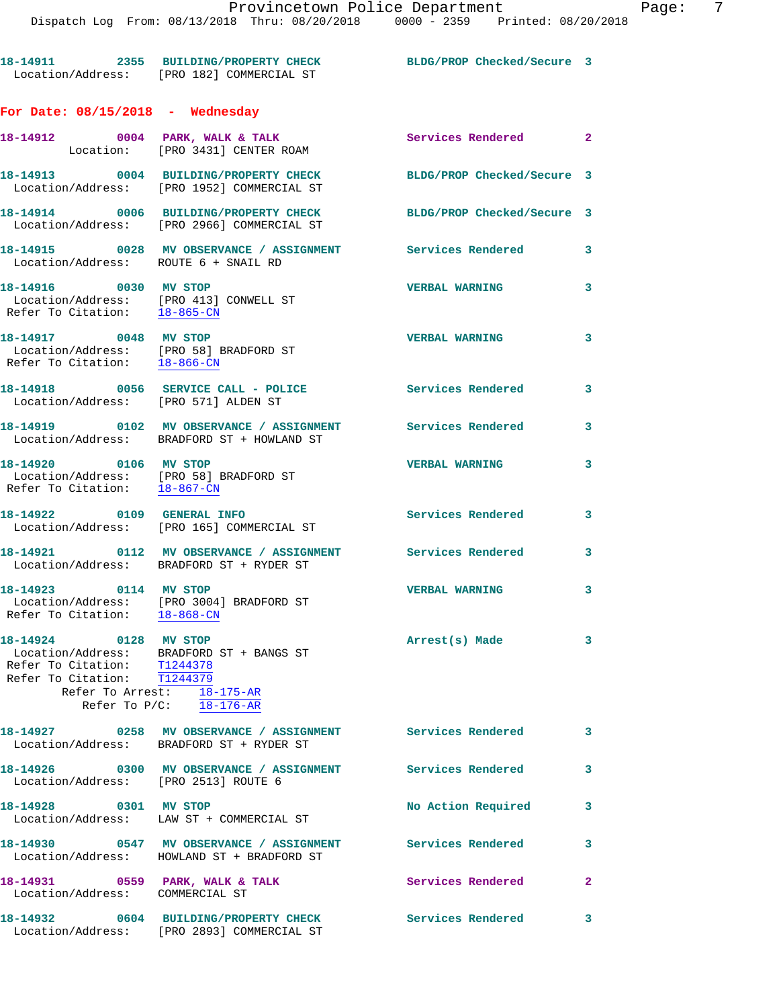**18-14911 2355 BUILDING/PROPERTY CHECK BLDG/PROP Checked/Secure 3**  Location/Address: [PRO 182] COMMERCIAL ST **For Date: 08/15/2018 - Wednesday 18-14912 0004 PARK, WALK & TALK Services Rendered 2**  Location: [PRO 3431] CENTER ROAM **18-14913 0004 BUILDING/PROPERTY CHECK BLDG/PROP Checked/Secure 3**  Location/Address: [PRO 1952] COMMERCIAL ST **18-14914 0006 BUILDING/PROPERTY CHECK BLDG/PROP Checked/Secure 3**  Location/Address: [PRO 2966] COMMERCIAL ST **18-14915 0028 MV OBSERVANCE / ASSIGNMENT Services Rendered 3**  Location/Address: ROUTE 6 + SNAIL RD **18-14916 0030 MV STOP VERBAL WARNING 3**  Location/Address: [PRO 413] CONWELL ST Refer To Citation:  $\frac{18-865-CN}{\ }$ **18-14917 0048 MV STOP VERBAL WARNING 3**  Location/Address: [PRO 58] BRADFORD ST<br>Refer To Citation: 18-866-CN Refer To Citation: **18-14918 0056 SERVICE CALL - POLICE Services Rendered 3**  Location/Address: [PRO 571] ALDEN ST **18-14919 0102 MV OBSERVANCE / ASSIGNMENT Services Rendered 3**  Location/Address: BRADFORD ST + HOWLAND ST **18-14920 0106 MV STOP VERBAL WARNING 3**  Location/Address: [PRO 58] BRADFORD ST Refer To Citation: 18-867-CN **18-14922 0109 GENERAL INFO Services Rendered 3**  Location/Address: [PRO 165] COMMERCIAL ST 18-14921 **0112 MV OBSERVANCE / ASSIGNMENT** Services Rendered 3 Location/Address: BRADFORD ST + RYDER ST **18-14923 0114 MV STOP VERBAL WARNING 3**  Location/Address: [PRO 3004] BRADFORD ST Refer To Citation:  $\frac{18-868-CN}{\ }$ **18-14924 0128 MV STOP Arrest(s) Made 3**  Location/Address: BRADFORD ST + BANGS ST Refer To Citation: T1244378 Refer To Citation: T1244379 Refer To Arrest: 18-175-AR Refer To P/C: 18-176-AR **18-14927 0258 MV OBSERVANCE / ASSIGNMENT Services Rendered 3**  Location/Address: BRADFORD ST + RYDER ST **18-14926 0300 MV OBSERVANCE / ASSIGNMENT Services Rendered 3**  Location/Address: [PRO 2513] ROUTE 6 18-14928 0301 MV STOP **No Action Required** 3 Location/Address: LAW ST + COMMERCIAL ST **18-14930 0547 MV OBSERVANCE / ASSIGNMENT Services Rendered 3**  Location/Address: HOWLAND ST + BRADFORD ST 18-14931 0559 PARK, WALK & TALK 3 Services Rendered 2 Location/Address: COMMERCIAL ST **18-14932 0604 BUILDING/PROPERTY CHECK Services Rendered 3**  Location/Address: [PRO 2893] COMMERCIAL ST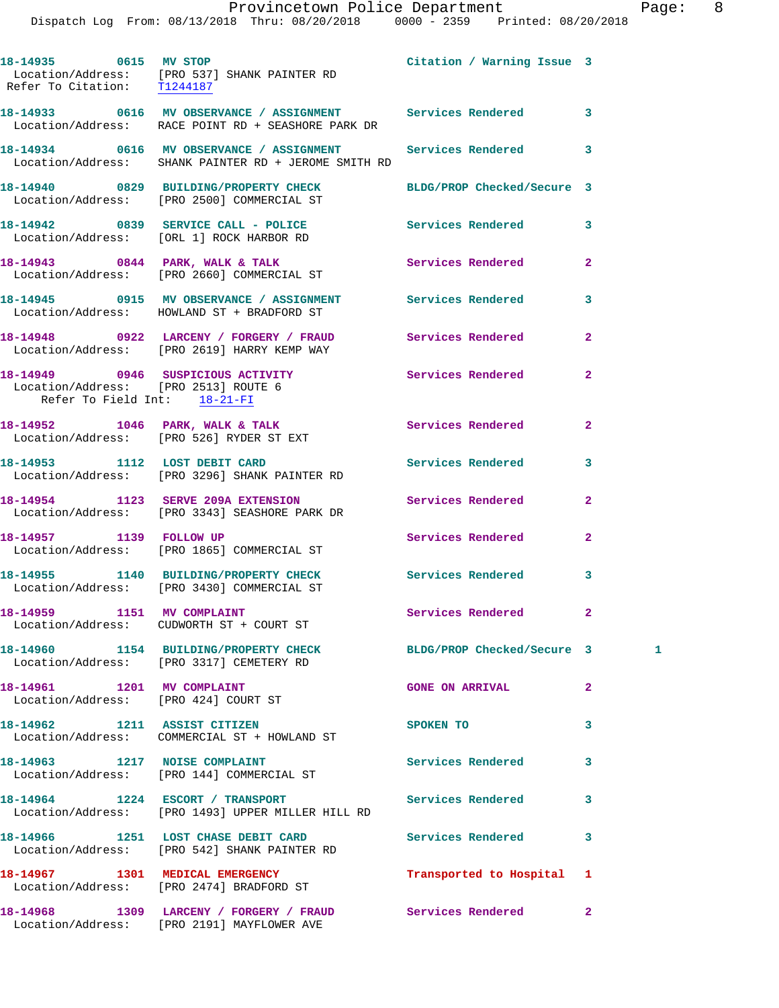|                                      | Dispatch Log From: 08/13/2018 Thru: 08/20/2018 0000 - 2359 Printed: 08/20/2018                                       | Provincetown Police Department Page: 8 |              |   |  |
|--------------------------------------|----------------------------------------------------------------------------------------------------------------------|----------------------------------------|--------------|---|--|
|                                      | 18-14935 0615 MV STOP<br>Location/Address: [PRO 537] SHANK PAINTER RD<br>Refer To Citation: T1244187                 | Citation / Warning Issue 3             |              |   |  |
|                                      | 18-14933 0616 MV OBSERVANCE / ASSIGNMENT Services Rendered 3<br>Location/Address: RACE POINT RD + SEASHORE PARK DR   |                                        |              |   |  |
|                                      | 18-14934 0616 MV OBSERVANCE / ASSIGNMENT Services Rendered 3<br>Location/Address: SHANK PAINTER RD + JEROME SMITH RD |                                        |              |   |  |
|                                      | 18-14940 0829 BUILDING/PROPERTY CHECK BLDG/PROP Checked/Secure 3<br>Location/Address: [PRO 2500] COMMERCIAL ST       |                                        |              |   |  |
|                                      | 18-14942 0839 SERVICE CALL - POLICE Services Rendered 3<br>Location/Address: [ORL 1] ROCK HARBOR RD                  |                                        |              |   |  |
|                                      | 18-14943 0844 PARK, WALK & TALK (Services Rendered Location/Address: [PRO 2660] COMMERCIAL ST                        |                                        | $\mathbf{2}$ |   |  |
|                                      | 18-14945 0915 MV OBSERVANCE / ASSIGNMENT Services Rendered 3<br>Location/Address: HOWLAND ST + BRADFORD ST           |                                        |              |   |  |
|                                      | 18-14948 0922 LARCENY / FORGERY / FRAUD Services Rendered 2<br>Location/Address: [PRO 2619] HARRY KEMP WAY           |                                        |              |   |  |
| Refer To Field Int: 18-21-FI         | 18-14949 0946 SUSPICIOUS ACTIVITY Services Rendered<br>Location/Address: [PRO 2513] ROUTE 6                          |                                        | $\mathbf{2}$ |   |  |
|                                      | 18-14952 1046 PARK, WALK & TALK 1998 Services Rendered 2<br>Location/Address: [PRO 526] RYDER ST EXT                 |                                        |              |   |  |
|                                      | 18-14953 1112 LOST DEBIT CARD<br>Location/Address: [PRO 3296] SHANK PAINTER RD                                       | Services Rendered                      | 3            |   |  |
|                                      | 18-14954 1123 SERVE 209A EXTENSION Services Rendered 2<br>Location/Address: [PRO 3343] SEASHORE PARK DR              |                                        |              |   |  |
|                                      | 18-14957 1139 FOLLOW UP<br>Location/Address: [PRO 1865] COMMERCIAL ST                                                | Services Rendered                      | $\mathbf{2}$ |   |  |
|                                      | 18-14955 1140 BUILDING/PROPERTY CHECK<br>Location/Address: [PRO 3430] COMMERCIAL ST                                  | Services Rendered 3                    |              |   |  |
|                                      | 18-14959 1151 MV COMPLAINT<br>Location/Address: CUDWORTH ST + COURT ST                                               | Services Rendered                      | $\mathbf{2}$ |   |  |
|                                      | 18-14960 1154 BUILDING/PROPERTY CHECK BLDG/PROP Checked/Secure 3<br>Location/Address: [PRO 3317] CEMETERY RD         |                                        |              | 1 |  |
| Location/Address: [PRO 424] COURT ST | 18-14961    1201    MV COMPLAINT                                                                                     | <b>GONE ON ARRIVAL</b>                 | 2            |   |  |
|                                      | 18-14962 1211 ASSIST CITIZEN<br>Location/Address: COMMERCIAL ST + HOWLAND ST                                         | <b>SPOKEN TO</b>                       | 3            |   |  |
|                                      | 18-14963 1217 NOISE COMPLAINT<br>Location/Address: [PRO 144] COMMERCIAL ST                                           | Services Rendered                      | 3            |   |  |
|                                      | 18-14964 1224 ESCORT / TRANSPORT Services Rendered 3<br>Location/Address: [PRO 1493] UPPER MILLER HILL RD            |                                        |              |   |  |
|                                      | 18-14966 1251 LOST CHASE DEBIT CARD Services Rendered<br>Location/Address: [PRO 542] SHANK PAINTER RD                |                                        | 3            |   |  |
|                                      | 18-14967 1301 MEDICAL EMERGENCY<br>Location/Address: [PRO 2474] BRADFORD ST                                          | Transported to Hospital 1              |              |   |  |
|                                      | 18-14968 1309 LARCENY / FORGERY / FRAUD Services Rendered 2                                                          |                                        |              |   |  |

Location/Address: [PRO 2191] MAYFLOWER AVE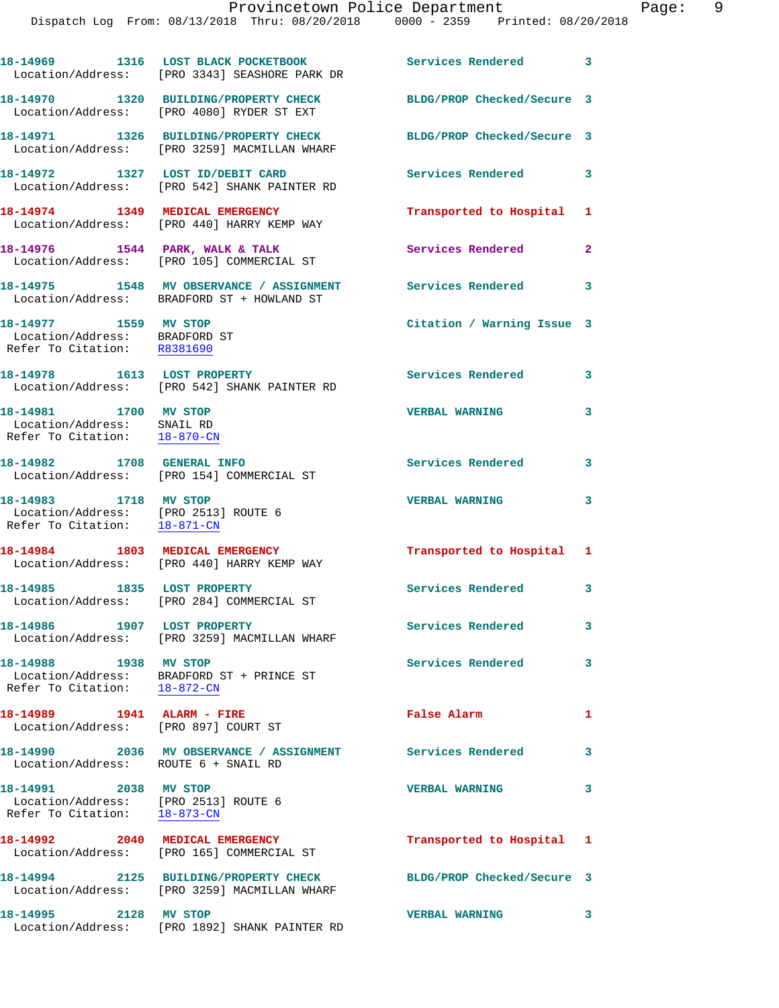|                                                                                                            | 18-14969 1316 LOST BLACK POCKETBOOK<br>Location/Address: [PRO 3343] SEASHORE PARK DR                       | Services Rendered 3        |                |
|------------------------------------------------------------------------------------------------------------|------------------------------------------------------------------------------------------------------------|----------------------------|----------------|
|                                                                                                            | 18-14970 1320 BUILDING/PROPERTY CHECK<br>Location/Address: [PRO 4080] RYDER ST EXT                         | BLDG/PROP Checked/Secure 3 |                |
|                                                                                                            | 18-14971 1326 BUILDING/PROPERTY CHECK<br>Location/Address: [PRO 3259] MACMILLAN WHARF                      | BLDG/PROP Checked/Secure 3 |                |
|                                                                                                            | 18-14972 1327 LOST ID/DEBIT CARD<br>Location/Address: [PRO 542] SHANK PAINTER RD                           | Services Rendered 3        |                |
|                                                                                                            | 18-14974 1349 MEDICAL EMERGENCY<br>Location/Address: [PRO 440] HARRY KEMP WAY                              | Transported to Hospital 1  |                |
|                                                                                                            | 18-14976 1544 PARK, WALK & TALK<br>Location/Address: [PRO 105] COMMERCIAL ST                               | Services Rendered          | $\overline{2}$ |
|                                                                                                            | 18-14975 1548 MV OBSERVANCE / ASSIGNMENT Services Rendered 3<br>Location/Address: BRADFORD ST + HOWLAND ST |                            |                |
| 18-14977 1559 MV STOP<br>Location/Address: BRADFORD ST<br>Refer To Citation: R8381690                      |                                                                                                            | Citation / Warning Issue 3 |                |
|                                                                                                            | 18-14978 1613 LOST PROPERTY<br>Location/Address: [PRO 542] SHANK PAINTER RD                                | Services Rendered 3        |                |
| 18-14981 1700 MV STOP<br>Location/Address: SNAIL RD<br>Refer To Citation: 18-870-CN                        |                                                                                                            | <b>VERBAL WARNING</b>      | 3              |
|                                                                                                            | 18-14982 1708 GENERAL INFO<br>Location/Address: [PRO 154] COMMERCIAL ST                                    | Services Rendered 3        |                |
| 18-14983 1718 MV STOP<br>Location/Address: [PRO 2513] ROUTE 6<br>Refer To Citation: $\frac{18-871-CN}{\ }$ |                                                                                                            | <b>VERBAL WARNING</b>      | 3              |
|                                                                                                            | 18-14984 1803 MEDICAL EMERGENCY<br>Location/Address: [PRO 440] HARRY KEMP WAY                              | Transported to Hospital 1  |                |
|                                                                                                            | 18-14985 1835 LOST PROPERTY<br>Location/Address: [PRO 284] COMMERCIAL ST                                   | Services Rendered 3        |                |
| 18-14986 1907 LOST PROPERTY                                                                                | Location/Address: [PRO 3259] MACMILLAN WHARF                                                               | Services Rendered          | $\mathbf{3}$   |
| 18-14988 1938 MV STOP<br>Refer To Citation: $18-872-CN$                                                    | Location/Address: BRADFORD ST + PRINCE ST                                                                  | Services Rendered          | 3              |
| 18-14989    1941    ALARM - FIRE                                                                           | Location/Address: [PRO 897] COURT ST                                                                       | False Alarm                | $\mathbf{1}$   |
| Location/Address: ROUTE 6 + SNAIL RD                                                                       | 18-14990 2036 MV OBSERVANCE / ASSIGNMENT Services Rendered                                                 |                            | 3              |
| 18-14991 2038 MV STOP<br>Location/Address: [PRO 2513] ROUTE 6<br>Refer To Citation: 18-873-CN              |                                                                                                            | <b>VERBAL WARNING</b>      | 3              |
|                                                                                                            | 18-14992 2040 MEDICAL EMERGENCY<br>Location/Address: [PRO 165] COMMERCIAL ST                               | Transported to Hospital 1  |                |
|                                                                                                            | 18-14994 2125 BUILDING/PROPERTY CHECK<br>Location/Address: [PRO 3259] MACMILLAN WHARF                      | BLDG/PROP Checked/Secure 3 |                |
| 18-14995 2128 MV STOP                                                                                      | Location/Address: [PRO 1892] SHANK PAINTER RD                                                              | <b>VERBAL WARNING</b>      | 3              |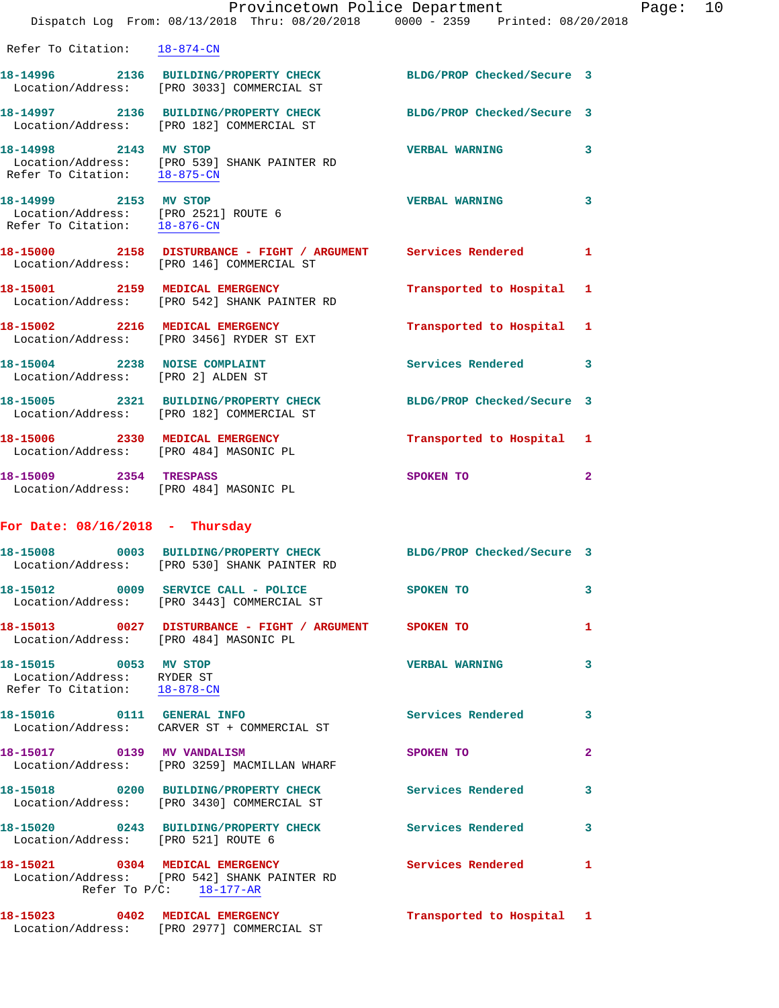|                                                                                                      | Provincetown Police Department<br>Dispatch Log From: 08/13/2018 Thru: 08/20/2018 0000 - 2359 Printed: 08/20/2018 |                            |                         |
|------------------------------------------------------------------------------------------------------|------------------------------------------------------------------------------------------------------------------|----------------------------|-------------------------|
| Refer To Citation: 18-874-CN                                                                         |                                                                                                                  |                            |                         |
|                                                                                                      | 18-14996 2136 BUILDING/PROPERTY CHECK BLDG/PROP Checked/Secure 3<br>Location/Address: [PRO 3033] COMMERCIAL ST   |                            |                         |
|                                                                                                      | 18-14997 2136 BUILDING/PROPERTY CHECK<br>Location/Address: [PRO 182] COMMERCIAL ST                               | BLDG/PROP Checked/Secure 3 |                         |
| 18-14998 2143 MV STOP<br>Refer To Citation: 18-875-CN                                                | Location/Address: [PRO 539] SHANK PAINTER RD                                                                     | <b>VERBAL WARNING</b>      | 3                       |
| 18-14999 2153 MV STOP<br>Location/Address: [PRO 2521] ROUTE 6<br>Refer To Citation: <u>18-876-CN</u> |                                                                                                                  | <b>VERBAL WARNING</b>      | 3                       |
|                                                                                                      | 18-15000 2158 DISTURBANCE - FIGHT / ARGUMENT Services Rendered<br>Location/Address: [PRO 146] COMMERCIAL ST      |                            | 1                       |
|                                                                                                      | 18-15001 2159 MEDICAL EMERGENCY<br>Location/Address: [PRO 542] SHANK PAINTER RD                                  | Transported to Hospital    | 1                       |
|                                                                                                      | 18-15002 2216 MEDICAL EMERGENCY<br>Location/Address: [PRO 3456] RYDER ST EXT                                     | Transported to Hospital    | 1                       |
| 18-15004 2238 NOISE COMPLAINT<br>Location/Address: [PRO 2] ALDEN ST                                  |                                                                                                                  | Services Rendered          | 3                       |
|                                                                                                      | 18-15005 2321 BUILDING/PROPERTY CHECK<br>Location/Address: [PRO 182] COMMERCIAL ST                               | BLDG/PROP Checked/Secure 3 |                         |
| 18-15006 2330 MEDICAL EMERGENCY<br>Location/Address: [PRO 484] MASONIC PL                            |                                                                                                                  | Transported to Hospital    | 1                       |
| 18-15009 2354 TRESPASS<br>Location/Address: [PRO 484] MASONIC PL                                     |                                                                                                                  | SPOKEN TO                  | $\overline{\mathbf{2}}$ |
| For Date: $08/16/2018$ - Thursday                                                                    |                                                                                                                  |                            |                         |
| 18-15008<br>Location/Address:                                                                        | 0003 BUILDING/PROPERTY CHECK<br>[PRO 530] SHANK PAINTER RD                                                       | BLDG/PROP Checked/Secure 3 |                         |
| 18-15012<br>Location/Address:                                                                        | 0009 SERVICE CALL - POLICE<br>[PRO 3443] COMMERCIAL ST                                                           | SPOKEN TO                  | 3                       |
| Location/Address: [PRO 484] MASONIC PL                                                               | 18-15013  0027 DISTURBANCE - FIGHT / ARGUMENT                                                                    | SPOKEN TO                  | 1                       |
| 18-15015<br>Location/Address:                                                                        | 0053 MV STOP<br>RYDER ST                                                                                         | <b>VERBAL WARNING</b>      | 3                       |

Refer To Citation: 18-878-CN

**18-15016 0111 GENERAL INFO Services Rendered 3**  Location/Address: CARVER ST + COMMERCIAL ST

**18-15017 0139 MV VANDALISM SPOKEN TO 2**  Location/Address: [PRO 3259] MACMILLAN WHARF

**18-15018 0200 BUILDING/PROPERTY CHECK Services Rendered 3**  Location/Address: [PRO 3430] COMMERCIAL ST

**18-15020 0243 BUILDING/PROPERTY CHECK Services Rendered 3**  Location/Address: [PRO 521] ROUTE 6

**18-15021 0304 MEDICAL EMERGENCY Services Rendered 1**  Location/Address: [PRO 542] SHANK PAINTER RD Refer To P/C: 18-177-AR

**18-15023 0402 MEDICAL EMERGENCY Transported to Hospital 1**  Location/Address: [PRO 2977] COMMERCIAL ST

Page:  $10$ <br> $2018$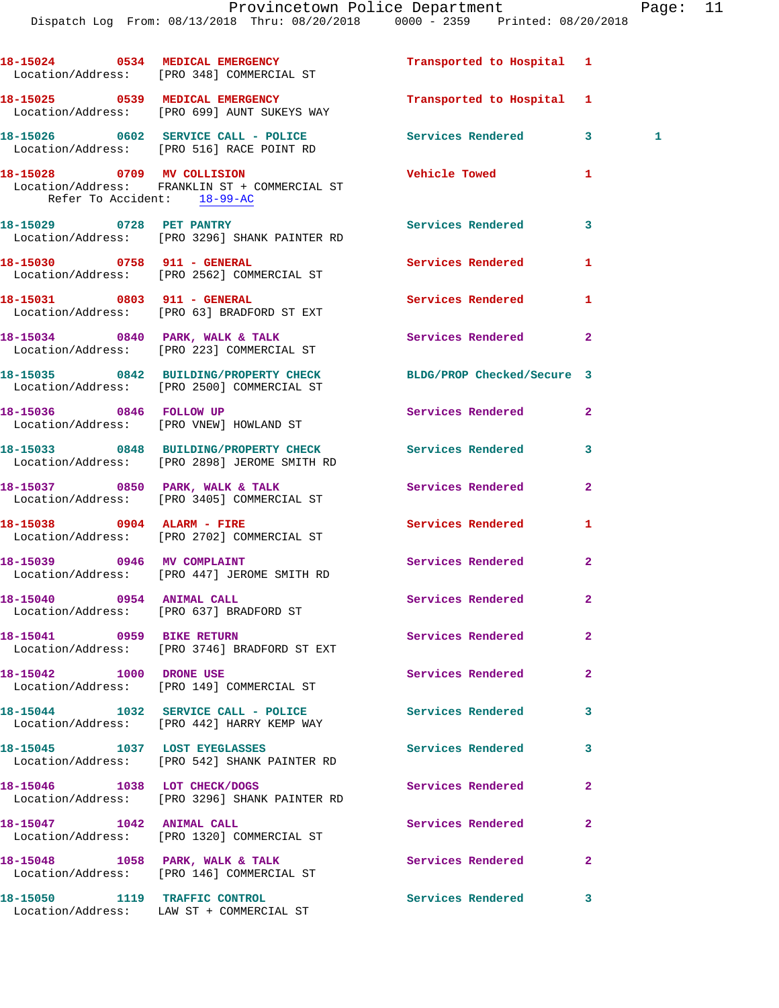|                                                           | 18-15024 0534 MEDICAL EMERGENCY<br>Location/Address: [PRO 348] COMMERCIAL ST                                   | Transported to Hospital 1 |                |  |
|-----------------------------------------------------------|----------------------------------------------------------------------------------------------------------------|---------------------------|----------------|--|
|                                                           | 18-15025 0539 MEDICAL EMERGENCY<br>Location/Address: [PRO 699] AUNT SUKEYS WAY                                 | Transported to Hospital 1 |                |  |
|                                                           | 18-15026 0602 SERVICE CALL - POLICE<br>Location/Address: [PRO 516] RACE POINT RD                               | Services Rendered         | 3<br>1         |  |
| 18-15028 0709 MV COLLISION<br>Refer To Accident: 18-99-AC | Location/Address: FRANKLIN ST + COMMERCIAL ST                                                                  | Vehicle Towed             | 1              |  |
|                                                           | 18-15029 0728 PET PANTRY<br>Location/Address: [PRO 3296] SHANK PAINTER RD                                      | Services Rendered         | 3              |  |
| 18-15030 0758 911 - GENERAL                               | Location/Address: [PRO 2562] COMMERCIAL ST                                                                     | Services Rendered         | 1              |  |
|                                                           | 18-15031 0803 911 - GENERAL<br>Location/Address: [PRO 63] BRADFORD ST EXT                                      | Services Rendered         | 1              |  |
|                                                           | 18-15034 0840 PARK, WALK & TALK<br>Location/Address: [PRO 223] COMMERCIAL ST                                   | Services Rendered         | $\overline{a}$ |  |
|                                                           | 18-15035 0842 BUILDING/PROPERTY CHECK BLDG/PROP Checked/Secure 3<br>Location/Address: [PRO 2500] COMMERCIAL ST |                           |                |  |
| 18-15036 0846 FOLLOW UP                                   | Location/Address: [PRO VNEW] HOWLAND ST                                                                        | Services Rendered         | $\mathbf{2}$   |  |
|                                                           | 18-15033 0848 BUILDING/PROPERTY CHECK Services Rendered<br>Location/Address: [PRO 2898] JEROME SMITH RD        |                           | 3              |  |
|                                                           | 18-15037 0850 PARK, WALK & TALK<br>Location/Address: [PRO 3405] COMMERCIAL ST                                  | Services Rendered         | $\mathbf{2}$   |  |
| 18-15038 0904 ALARM - FIRE                                | Location/Address: [PRO 2702] COMMERCIAL ST                                                                     | Services Rendered         | 1              |  |
|                                                           | 18-15039 0946 MV COMPLAINT<br>Location/Address: [PRO 447] JEROME SMITH RD                                      | Services Rendered         | $\mathbf{2}$   |  |
| 18-15040 0954 ANIMAL CALL                                 | Location/Address: [PRO 637] BRADFORD ST                                                                        | Services Rendered         | $\mathbf{2}$   |  |
| 18-15041 0959 BIKE RETURN                                 | Location/Address: [PRO 3746] BRADFORD ST EXT                                                                   | Services Rendered         | $\mathbf{2}$   |  |
| 18-15042 1000 DRONE USE                                   | Location/Address: [PRO 149] COMMERCIAL ST                                                                      | Services Rendered         | $\mathbf{2}$   |  |
|                                                           | 18-15044 1032 SERVICE CALL - POLICE<br>Location/Address: [PRO 442] HARRY KEMP WAY                              | <b>Services Rendered</b>  | 3              |  |
| 18-15045 1037 LOST EYEGLASSES                             | Location/Address: [PRO 542] SHANK PAINTER RD                                                                   | <b>Services Rendered</b>  | 3              |  |
|                                                           |                                                                                                                |                           |                |  |
| 18-15046 1038 LOT CHECK/DOGS                              | Location/Address: [PRO 3296] SHANK PAINTER RD                                                                  | Services Rendered         | $\mathbf{2}$   |  |
| 18-15047 1042 ANIMAL CALL                                 | Location/Address: [PRO 1320] COMMERCIAL ST                                                                     | Services Rendered         | $\overline{a}$ |  |
|                                                           | 18-15048 1058 PARK, WALK & TALK<br>Location/Address: [PRO 146] COMMERCIAL ST                                   | Services Rendered         | $\mathbf{2}$   |  |

**18-15050 1119 TRAFFIC CONTROL Services Rendered 3** 

Location/Address: LAW ST + COMMERCIAL ST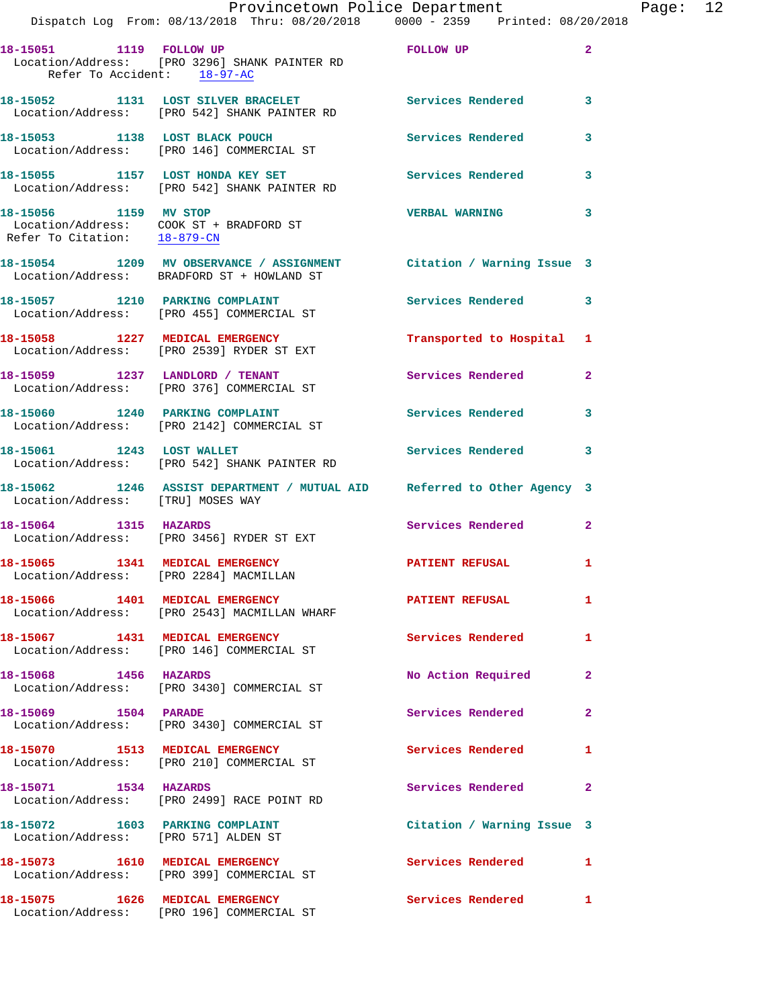|                                                        | Dispatch Log From: 08/13/2018 Thru: 08/20/2018 0000 - 2359 Printed: 08/20/2018                                    | Provincetown Police Department |              | Page: 12 |  |
|--------------------------------------------------------|-------------------------------------------------------------------------------------------------------------------|--------------------------------|--------------|----------|--|
| 18-15051 1119 FOLLOW UP<br>Refer To Accident: 18-97-AC | Location/Address: [PRO 3296] SHANK PAINTER RD                                                                     | FOLLOW UP                      | $\mathbf{2}$ |          |  |
|                                                        | 18-15052 1131 LOST SILVER BRACELET Services Rendered<br>Location/Address: [PRO 542] SHANK PAINTER RD              |                                | 3            |          |  |
|                                                        | 18-15053 1138 LOST BLACK POUCH<br>Location/Address: [PRO 146] COMMERCIAL ST                                       | Services Rendered              | 3            |          |  |
|                                                        | 18-15055 1157 LOST HONDA KEY SET<br>Location/Address: [PRO 542] SHANK PAINTER RD                                  | Services Rendered              | 3            |          |  |
| Refer To Citation: 18-879-CN                           | 18-15056 1159 MV STOP<br>Location/Address: COOK ST + BRADFORD ST                                                  | <b>VERBAL WARNING</b>          | 3            |          |  |
|                                                        | 18-15054 1209 MV OBSERVANCE / ASSIGNMENT Citation / Warning Issue 3<br>Location/Address: BRADFORD ST + HOWLAND ST |                                |              |          |  |
|                                                        | 18-15057 1210 PARKING COMPLAINT<br>Location/Address: [PRO 455] COMMERCIAL ST                                      | Services Rendered 3            |              |          |  |
|                                                        | 18-15058 1227 MEDICAL EMERGENCY<br>Location/Address: [PRO 2539] RYDER ST EXT                                      | Transported to Hospital 1      |              |          |  |
|                                                        | 18-15059 1237 LANDLORD / TENANT<br>Location/Address: [PRO 376] COMMERCIAL ST                                      | Services Rendered              | $\mathbf{2}$ |          |  |
|                                                        | 18-15060 1240 PARKING COMPLAINT<br>Location/Address: [PRO 2142] COMMERCIAL ST                                     | Services Rendered              | 3            |          |  |
| 18-15061 1243 LOST WALLET                              | Location/Address: [PRO 542] SHANK PAINTER RD                                                                      | Services Rendered              | 3            |          |  |
| Location/Address: [TRU] MOSES WAY                      | 18-15062 1246 ASSIST DEPARTMENT / MUTUAL AID Referred to Other Agency 3                                           |                                |              |          |  |
| 18-15064 1315 HAZARDS                                  | Location/Address: [PRO 3456] RYDER ST EXT                                                                         | Services Rendered              | $\mathbf{2}$ |          |  |
| Location/Address: [PRO 2284] MACMILLAN                 | 18-15065 1341 MEDICAL EMERGENCY                                                                                   | <b>PATIENT REFUSAL</b>         | 1            |          |  |
|                                                        | 18-15066 1401 MEDICAL EMERGENCY<br>Location/Address: [PRO 2543] MACMILLAN WHARF                                   | PATIENT REFUSAL                | 1            |          |  |
|                                                        | 18-15067 1431 MEDICAL EMERGENCY<br>Location/Address: [PRO 146] COMMERCIAL ST                                      | Services Rendered              | 1            |          |  |
| 18-15068 1456 HAZARDS                                  | Location/Address: [PRO 3430] COMMERCIAL ST                                                                        | No Action Required             | $\mathbf{2}$ |          |  |
| 18-15069 1504 PARADE                                   | Location/Address: [PRO 3430] COMMERCIAL ST                                                                        | Services Rendered              | $\mathbf{2}$ |          |  |
|                                                        | 18-15070 1513 MEDICAL EMERGENCY<br>Location/Address: [PRO 210] COMMERCIAL ST                                      | Services Rendered              | 1            |          |  |
|                                                        | 18-15071 1534 HAZARDS<br>Location/Address: [PRO 2499] RACE POINT RD                                               | Services Rendered              | 2            |          |  |
|                                                        | 18-15072 1603 PARKING COMPLAINT<br>Location/Address: [PRO 571] ALDEN ST                                           | Citation / Warning Issue 3     |              |          |  |
|                                                        | 18-15073 1610 MEDICAL EMERGENCY<br>Location/Address: [PRO 399] COMMERCIAL ST                                      | Services Rendered 1            |              |          |  |
|                                                        | 18-15075 1626 MEDICAL EMERGENCY<br>Location/Address: [PRO 196] COMMERCIAL ST                                      | Services Rendered 1            |              |          |  |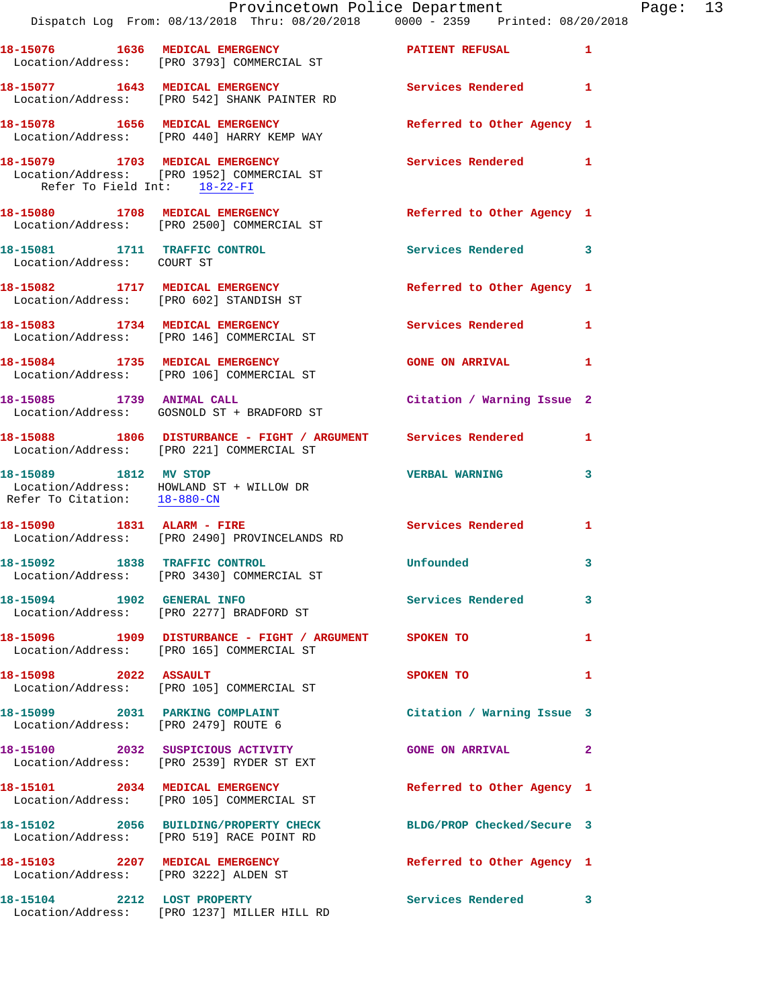|                                                                         | Provincetown Police Department<br>Dispatch Log From: 08/13/2018 Thru: 08/20/2018 0000 - 2359 Printed: 08/20/2018 |                            |   |
|-------------------------------------------------------------------------|------------------------------------------------------------------------------------------------------------------|----------------------------|---|
|                                                                         | 18-15076 1636 MEDICAL EMERGENCY<br>Location/Address: [PRO 3793] COMMERCIAL ST                                    | PATIENT REFUSAL            | 1 |
|                                                                         | 18-15077 1643 MEDICAL EMERGENCY<br>Location/Address: [PRO 542] SHANK PAINTER RD                                  | Services Rendered          | 1 |
|                                                                         | 18-15078 1656 MEDICAL EMERGENCY<br>Location/Address: [PRO 440] HARRY KEMP WAY                                    | Referred to Other Agency 1 |   |
| Refer To Field Int: 18-22-FI                                            | 18-15079 1703 MEDICAL EMERGENCY<br>Location/Address: [PRO 1952] COMMERCIAL ST                                    | <b>Services Rendered</b>   | 1 |
|                                                                         | 18-15080 1708 MEDICAL EMERGENCY<br>Location/Address: [PRO 2500] COMMERCIAL ST                                    | Referred to Other Agency 1 |   |
| 18-15081 1711 TRAFFIC CONTROL<br>Location/Address: COURT ST             |                                                                                                                  | <b>Services Rendered</b>   | 3 |
|                                                                         | 18-15082 1717 MEDICAL EMERGENCY<br>Location/Address: [PRO 602] STANDISH ST                                       | Referred to Other Agency 1 |   |
|                                                                         | 18-15083 1734 MEDICAL EMERGENCY<br>Location/Address: [PRO 146] COMMERCIAL ST                                     | <b>Services Rendered</b>   | 1 |
|                                                                         | 18-15084 1735 MEDICAL EMERGENCY<br>Location/Address: [PRO 106] COMMERCIAL ST                                     | <b>GONE ON ARRIVAL</b>     | 1 |
|                                                                         | 18-15085 1739 ANIMAL CALL<br>Location/Address: GOSNOLD ST + BRADFORD ST                                          | Citation / Warning Issue 2 |   |
|                                                                         | 18-15088 1806 DISTURBANCE - FIGHT / ARGUMENT Services Rendered<br>Location/Address: [PRO 221] COMMERCIAL ST      |                            | 1 |
| 18-15089 1812 MV STOP<br>Refer To Citation: 18-880-CN                   | Location/Address: HOWLAND ST + WILLOW DR                                                                         | <b>VERBAL WARNING</b>      | 3 |
|                                                                         | 18-15090 1831 ALARM - FIRE<br>Location/Address: [PRO 2490] PROVINCELANDS RD                                      | Services Rendered          | 1 |
| 18-15092                                                                | 1838 TRAFFIC CONTROL<br>Location/Address: [PRO 3430] COMMERCIAL ST                                               | <b>Unfounded</b>           | 3 |
| 18-15094 1902 GENERAL INFO                                              | Location/Address: [PRO 2277] BRADFORD ST                                                                         | Services Rendered          | 3 |
|                                                                         | 18-15096   1909   DISTURBANCE - FIGHT / ARGUMENT   SPOKEN TO<br>Location/Address: [PRO 165] COMMERCIAL ST        |                            | 1 |
| 18-15098 2022 ASSAULT                                                   | Location/Address: [PRO 105] COMMERCIAL ST                                                                        | SPOKEN TO                  | 1 |
| 18-15099 2031 PARKING COMPLAINT<br>Location/Address: [PRO 2479] ROUTE 6 |                                                                                                                  | Citation / Warning Issue 3 |   |
|                                                                         | 18-15100 2032 SUSPICIOUS ACTIVITY<br>Location/Address: [PRO 2539] RYDER ST EXT                                   | <b>GONE ON ARRIVAL</b>     | 2 |
|                                                                         | 18-15101 2034 MEDICAL EMERGENCY<br>Location/Address: [PRO 105] COMMERCIAL ST                                     | Referred to Other Agency 1 |   |
|                                                                         | 18-15102 2056 BUILDING/PROPERTY CHECK BLDG/PROP Checked/Secure 3<br>Location/Address: [PRO 519] RACE POINT RD    |                            |   |
|                                                                         | 18-15103 2207 MEDICAL EMERGENCY<br>Location/Address: [PRO 3222] ALDEN ST                                         | Referred to Other Agency 1 |   |
|                                                                         | 18-15104 2212 LOST PROPERTY<br>Location/Address: [PRO 1237] MILLER HILL RD                                       | <b>Services Rendered</b>   | 3 |

Page:  $13$ <br> $18$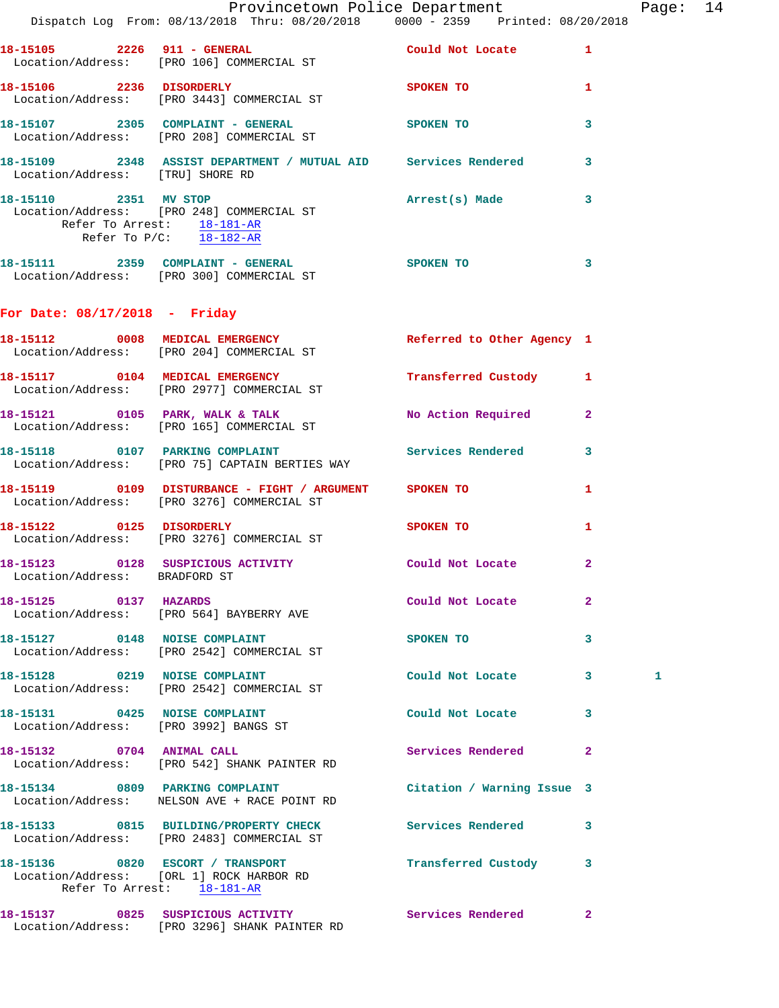|                                                       | Dispatch Log From: 08/13/2018 Thru: 08/20/2018 0000 - 2359 Printed: 08/20/2018                               | Provincetown Police Department |                | Page: 14 |  |
|-------------------------------------------------------|--------------------------------------------------------------------------------------------------------------|--------------------------------|----------------|----------|--|
|                                                       | 18-15105  2226  911 - GENERAL<br>Location/Address: [PRO 106] COMMERCIAL ST                                   | Could Not Locate 1             |                |          |  |
|                                                       | 18-15106 2236 DISORDERLY<br>Location/Address: [PRO 3443] COMMERCIAL ST                                       | <b>SPOKEN TO</b>               | 1.             |          |  |
|                                                       | 18-15107  2305  COMPLAINT - GENERAL  SPOKEN TO<br>Location/Address: [PRO 208]  COMMERCIAL ST                 |                                | 3              |          |  |
| Location/Address: [TRU] SHORE RD                      | 18-15109 2348 ASSIST DEPARTMENT / MUTUAL AID Services Rendered 3                                             |                                |                |          |  |
| Refer To Arrest: 18-181-AR<br>Refer To P/C: 18-182-AR | 18-15110 2351 MV STOP<br>Location/Address: [PRO 248] COMMERCIAL ST                                           | Arrest(s) Made                 | $\mathbf{3}$   |          |  |
|                                                       | 18-15111 2359 COMPLAINT - GENERAL SPOKEN TO<br>Location/Address: [PRO 300] COMMERCIAL ST                     |                                | 3              |          |  |
| For Date: $08/17/2018$ - Friday                       |                                                                                                              |                                |                |          |  |
|                                                       | 18-15112 0008 MEDICAL EMERGENCY Referred to Other Agency 1<br>Location/Address: [PRO 204] COMMERCIAL ST      |                                |                |          |  |
|                                                       | 18-15117 0104 MEDICAL EMERGENCY<br>Location/Address: [PRO 2977] COMMERCIAL ST                                | Transferred Custody 1          |                |          |  |
|                                                       | 18-15121 0105 PARK, WALK & TALK<br>Location/Address: [PRO 165] COMMERCIAL ST                                 | No Action Required 2           |                |          |  |
|                                                       | 18-15118 0107 PARKING COMPLAINT<br>Location/Address: [PRO 75] CAPTAIN BERTIES WAY                            | Services Rendered              | 3              |          |  |
|                                                       | Location/Address: [PRO 3276] COMMERCIAL ST                                                                   |                                | 1              |          |  |
|                                                       | 18-15122 0125 DISORDERLY<br>Location/Address: [PRO 3276] COMMERCIAL ST                                       | <b>SPOKEN TO</b>               | 1              |          |  |
| Location/Address: BRADFORD ST                         | 18-15123  0128  SUSPICIOUS ACTIVITY  Could Not Locate                                                        |                                | $\overline{2}$ |          |  |
| 18-15125 0137 HAZARDS                                 | Location/Address: [PRO 564] BAYBERRY AVE                                                                     | Could Not Locate               | $\mathbf{2}$   |          |  |
|                                                       | 18-15127 0148 NOISE COMPLAINT<br>Location/Address: [PRO 2542] COMMERCIAL ST                                  | SPOKEN TO                      | 3              |          |  |
|                                                       | 18-15128 0219 NOISE COMPLAINT<br>Location/Address: [PRO 2542] COMMERCIAL ST                                  | Could Not Locate 3             |                | 1        |  |
| Location/Address: [PRO 3992] BANGS ST                 | 18-15131 0425 NOISE COMPLAINT                                                                                | Could Not Locate               | 3              |          |  |
| 18-15132 0704 ANIMAL CALL                             | Location/Address: [PRO 542] SHANK PAINTER RD                                                                 | Services Rendered              | $\mathbf{2}$   |          |  |
|                                                       | 18-15134 0809 PARKING COMPLAINT<br>Location/Address: NELSON AVE + RACE POINT RD                              | Citation / Warning Issue 3     |                |          |  |
|                                                       | 18-15133 0815 BUILDING/PROPERTY CHECK Services Rendered<br>Location/Address: [PRO 2483] COMMERCIAL ST        |                                | 3              |          |  |
|                                                       | 18-15136  0820  ESCORT / TRANSPORT<br>Location/Address: [ORL 1] ROCK HARBOR RD<br>Refer To Arrest: 18-181-AR | Transferred Custody 3          |                |          |  |
|                                                       | 18-15137 0825 SUSPICIOUS ACTIVITY<br>Location/Address: [PRO 3296] SHANK PAINTER RD                           | Services Rendered              | $\mathbf{2}$   |          |  |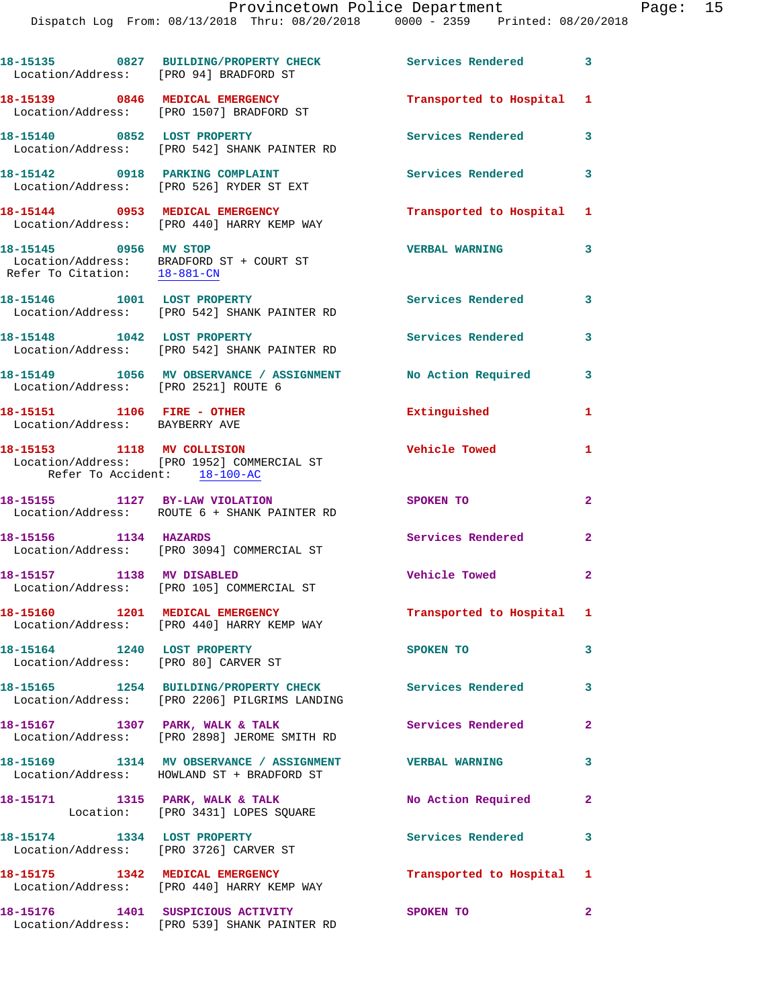| Location/Address: [PRO 94] BRADFORD ST                       | 18-15135 0827 BUILDING/PROPERTY CHECK                                                                      | Services Rendered 3       |                |
|--------------------------------------------------------------|------------------------------------------------------------------------------------------------------------|---------------------------|----------------|
|                                                              | 18-15139 0846 MEDICAL EMERGENCY<br>Location/Address: [PRO 1507] BRADFORD ST                                | Transported to Hospital 1 |                |
| 18-15140 0852 LOST PROPERTY                                  | Location/Address: [PRO 542] SHANK PAINTER RD                                                               | Services Rendered         | 3              |
|                                                              | 18-15142 0918 PARKING COMPLAINT<br>Location/Address: [PRO 526] RYDER ST EXT                                | <b>Services Rendered</b>  | 3              |
|                                                              | 18-15144 0953 MEDICAL EMERGENCY<br>Location/Address: [PRO 440] HARRY KEMP WAY                              | Transported to Hospital 1 |                |
| 18-15145 0956 MV STOP                                        | Location/Address: BRADFORD ST + COURT ST<br>Refer To Citation: $\frac{18-881-CN}{18-881-CN}$               | <b>VERBAL WARNING</b>     | 3              |
| 18-15146 1001 LOST PROPERTY                                  | Location/Address: [PRO 542] SHANK PAINTER RD                                                               | Services Rendered 3       |                |
|                                                              | 18-15148 1042 LOST PROPERTY<br>Location/Address: [PRO 542] SHANK PAINTER RD                                | Services Rendered         | 3              |
| Location/Address: [PRO 2521] ROUTE 6                         | 18-15149 1056 MV OBSERVANCE / ASSIGNMENT No Action Required                                                |                           | 3              |
| 18-15151 1106 FIRE - OTHER<br>Location/Address: BAYBERRY AVE |                                                                                                            | Extinguished              | $\mathbf{1}$   |
| 18-15153 1118 MV COLLISION<br>Refer To Accident: 18-100-AC   | Location/Address: [PRO 1952] COMMERCIAL ST                                                                 | Vehicle Towed             | $\mathbf{1}$   |
| 18-15155 1127 BY-LAW VIOLATION                               | Location/Address: ROUTE 6 + SHANK PAINTER RD                                                               | SPOKEN TO                 | $\mathbf{2}$   |
| 18-15156 1134 HAZARDS                                        | Location/Address: [PRO 3094] COMMERCIAL ST                                                                 | Services Rendered         | $\mathbf{2}$   |
| 18-15157 1138 MV DISABLED                                    | Location/Address: [PRO 105] COMMERCIAL ST                                                                  | Vehicle Towed             | $\overline{2}$ |
| 18-15160 1201 MEDICAL EMERGENCY                              | Location/Address: [PRO 440] HARRY KEMP WAY                                                                 | Transported to Hospital 1 |                |
| Location/Address: [PRO 80] CARVER ST                         |                                                                                                            | SPOKEN TO                 | 3              |
|                                                              | 18-15165 1254 BUILDING/PROPERTY CHECK Services Rendered 3<br>Location/Address: [PRO 2206] PILGRIMS LANDING |                           |                |
|                                                              | 18-15167 1307 PARK, WALK & TALK<br>Location/Address: [PRO 2898] JEROME SMITH RD                            | Services Rendered         | $\overline{2}$ |
|                                                              | 18-15169 1314 MV OBSERVANCE / ASSIGNMENT VERBAL WARNING<br>Location/Address: HOWLAND ST + BRADFORD ST      |                           | 3              |
|                                                              | 18-15171 1315 PARK, WALK & TALK<br>Location: [PRO 3431] LOPES SQUARE                                       | No Action Required        | $\mathbf{2}$   |
|                                                              | 18-15174 1334 LOST PROPERTY<br>Location/Address: [PRO 3726] CARVER ST                                      | Services Rendered         | 3              |
|                                                              | 18-15175 1342 MEDICAL EMERGENCY<br>Location/Address: [PRO 440] HARRY KEMP WAY                              | Transported to Hospital 1 |                |
|                                                              | 18-15176 1401 SUSPICIOUS ACTIVITY<br>Location/Address: [PRO 539] SHANK PAINTER RD                          | SPOKEN TO                 | $\overline{2}$ |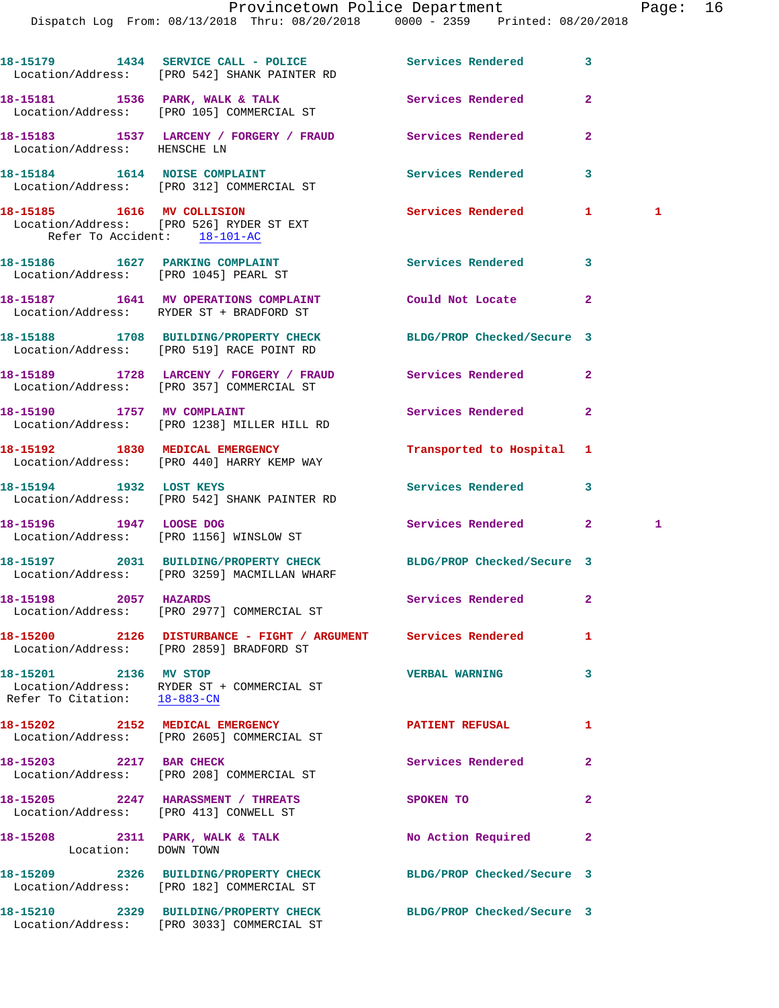18-15179 1434 SERVICE CALL - POLICE 3 Services Rendered 3 Location/Address: [PRO 542] SHANK PAINTER RD 18-15181 1536 PARK, WALK & TALK **1886 Services Rendered** 2 Location/Address: [PRO 105] COMMERCIAL ST **18-15183 1537 LARCENY / FORGERY / FRAUD Services Rendered 2**  Location/Address: HENSCHE LN 18-15184 1614 NOISE COMPLAINT **18-15184** Services Rendered 3 Location/Address: [PRO 312] COMMERCIAL ST **18-15185 1616 MV COLLISION Services Rendered 1 1**  Location/Address: [PRO 526] RYDER ST EXT Refer To Accident: 18-101-AC 18-15186 1627 PARKING COMPLAINT **Services Rendered** 3 Location/Address: [PRO 1045] PEARL ST **18-15187 1641 MV OPERATIONS COMPLAINT Could Not Locate 2**  Location/Address: RYDER ST + BRADFORD ST **18-15188 1708 BUILDING/PROPERTY CHECK BLDG/PROP Checked/Secure 3**  Location/Address: [PRO 519] RACE POINT RD **18-15189 1728 LARCENY / FORGERY / FRAUD Services Rendered 2**  Location/Address: [PRO 357] COMMERCIAL ST **18-15190 1757 MV COMPLAINT Services Rendered 2**  Location/Address: [PRO 1238] MILLER HILL RD **18-15192 1830 MEDICAL EMERGENCY Transported to Hospital 1**  Location/Address: [PRO 440] HARRY KEMP WAY **18-15194 1932 LOST KEYS Services Rendered 3**  Location/Address: [PRO 542] SHANK PAINTER RD **18-15196 1947 LOOSE DOG Services Rendered 2 1**  Location/Address: [PRO 1156] WINSLOW ST **18-15197 2031 BUILDING/PROPERTY CHECK BLDG/PROP Checked/Secure 3**  Location/Address: [PRO 3259] MACMILLAN WHARF **18-15198 2057 HAZARDS Services Rendered 2**  Location/Address: [PRO 2977] COMMERCIAL ST **18-15200 2126 DISTURBANCE - FIGHT / ARGUMENT Services Rendered 1**  Location/Address: [PRO 2859] BRADFORD ST **18-15201 2136 MV STOP VERBAL WARNING 3**  Location/Address: RYDER ST + COMMERCIAL ST Refer To Citation: 18-883-CN **18-15202 2152 MEDICAL EMERGENCY PATIENT REFUSAL 1**  Location/Address: [PRO 2605] COMMERCIAL ST **18-15203** 2217 BAR CHECK Services Rendered 2 Location/Address: [PRO 208] COMMERCIAL ST **18-15205 2247 HARASSMENT / THREATS SPOKEN TO 2**  Location/Address: [PRO 413] CONWELL ST 18-15208 2311 PARK, WALK & TALK **No Action Required** 2 Location: DOWN TOWN **18-15209 2326 BUILDING/PROPERTY CHECK BLDG/PROP Checked/Secure 3**  Location/Address: [PRO 182] COMMERCIAL ST **18-15210 2329 BUILDING/PROPERTY CHECK BLDG/PROP Checked/Secure 3** 

Location/Address: [PRO 3033] COMMERCIAL ST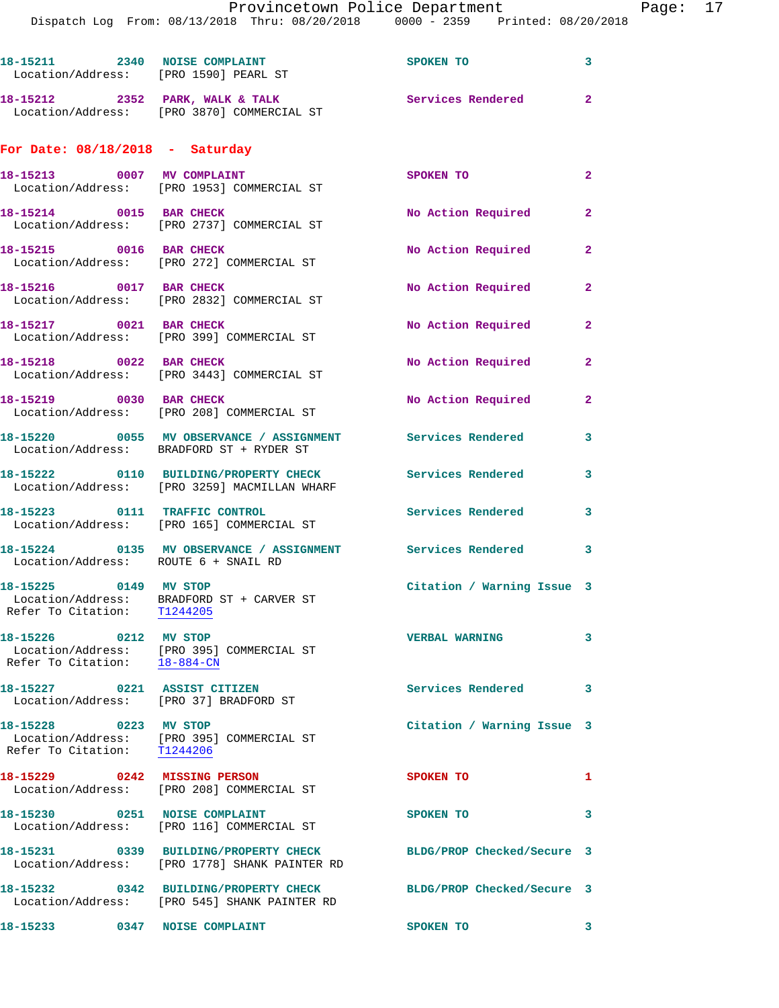|                                                                        | 18-15211 2340 NOISE COMPLAINT<br>Location/Address: [PRO 1590] PEARL ST                                 | SPOKEN TO                            | $\overline{\mathbf{3}}$ |
|------------------------------------------------------------------------|--------------------------------------------------------------------------------------------------------|--------------------------------------|-------------------------|
|                                                                        | 18-15212 2352 PARK, WALK & TALK<br>Location/Address: [PRO 3870] COMMERCIAL ST                          | Services Rendered 2                  |                         |
| For Date: $08/18/2018$ - Saturday                                      |                                                                                                        |                                      |                         |
|                                                                        | 18-15213 0007 MV COMPLAINT<br>Location/Address: [PRO 1953] COMMERCIAL ST                               | SPOKEN TO                            | $\mathbf{2}$            |
| 18-15214 0015 BAR CHECK                                                | Location/Address: [PRO 2737] COMMERCIAL ST                                                             | No Action Required                   | $\mathbf{2}$            |
| 18-15215 0016 BAR CHECK                                                | Location/Address: [PRO 272] COMMERCIAL ST                                                              | No Action Required                   | $\mathbf{2}$            |
| 18-15216 0017 BAR CHECK                                                | Location/Address: [PRO 2832] COMMERCIAL ST                                                             | No Action Required                   | $\mathbf{2}$            |
| 18-15217 0021 BAR CHECK                                                | Location/Address: [PRO 399] COMMERCIAL ST                                                              | No Action Required                   | $\mathbf{2}$            |
| 18-15218 0022 BAR CHECK                                                | Location/Address: [PRO 3443] COMMERCIAL ST                                                             | No Action Required                   | $\overline{2}$          |
| 18-15219 0030 BAR CHECK                                                | Location/Address: [PRO 208] COMMERCIAL ST                                                              | No Action Required                   | $\mathbf{2}$            |
|                                                                        | 18-15220 0055 MV OBSERVANCE / ASSIGNMENT Services Rendered<br>Location/Address: BRADFORD ST + RYDER ST |                                      | $\overline{\mathbf{3}}$ |
|                                                                        | 18-15222 0110 BUILDING/PROPERTY CHECK<br>Location/Address: [PRO 3259] MACMILLAN WHARF                  | Services Rendered 3                  |                         |
|                                                                        | 18-15223 0111 TRAFFIC CONTROL<br>Location/Address: [PRO 165] COMMERCIAL ST                             | <b>Services Rendered</b>             | $\overline{\mathbf{3}}$ |
| Location/Address: ROUTE 6 + SNAIL RD                                   | 18-15224 0135 MV OBSERVANCE / ASSIGNMENT Services Rendered 3                                           |                                      |                         |
| 18-15225 0149 MV STOP<br>Refer To Citation: T1244205                   | Location/Address: BRADFORD ST + CARVER ST                                                              | Citation / Warning Issue 3           |                         |
| Refer To Citation: 18-884-CN                                           | Location/Address: [PRO 395] COMMERCIAL ST                                                              | <b>VERBAL WARNING</b>                | 3                       |
| 18-15227 0221 ASSIST CITIZEN<br>Location/Address: [PRO 37] BRADFORD ST |                                                                                                        | <b>Services Rendered</b><br>$\sim$ 3 |                         |
| 18-15228 0223 MV STOP                                                  | Location/Address: [PRO 395] COMMERCIAL ST<br>Refer To Citation: T1244206                               | Citation / Warning Issue 3           |                         |
|                                                                        | 18-15229 0242 MISSING PERSON<br>Location/Address: [PRO 208] COMMERCIAL ST                              | SPOKEN TO                            | 1                       |
| 18-15230 0251 NOISE COMPLAINT                                          | Location/Address: [PRO 116] COMMERCIAL ST                                                              | SPOKEN TO                            | 3                       |
|                                                                        | 18-15231 0339 BUILDING/PROPERTY CHECK<br>Location/Address: [PRO 1778] SHANK PAINTER RD                 | BLDG/PROP Checked/Secure 3           |                         |
|                                                                        | 18-15232 0342 BUILDING/PROPERTY CHECK<br>Location/Address: [PRO 545] SHANK PAINTER RD                  | BLDG/PROP Checked/Secure 3           |                         |
| 18-15233 0347 NOISE COMPLAINT                                          |                                                                                                        | SPOKEN TO                            | 3                       |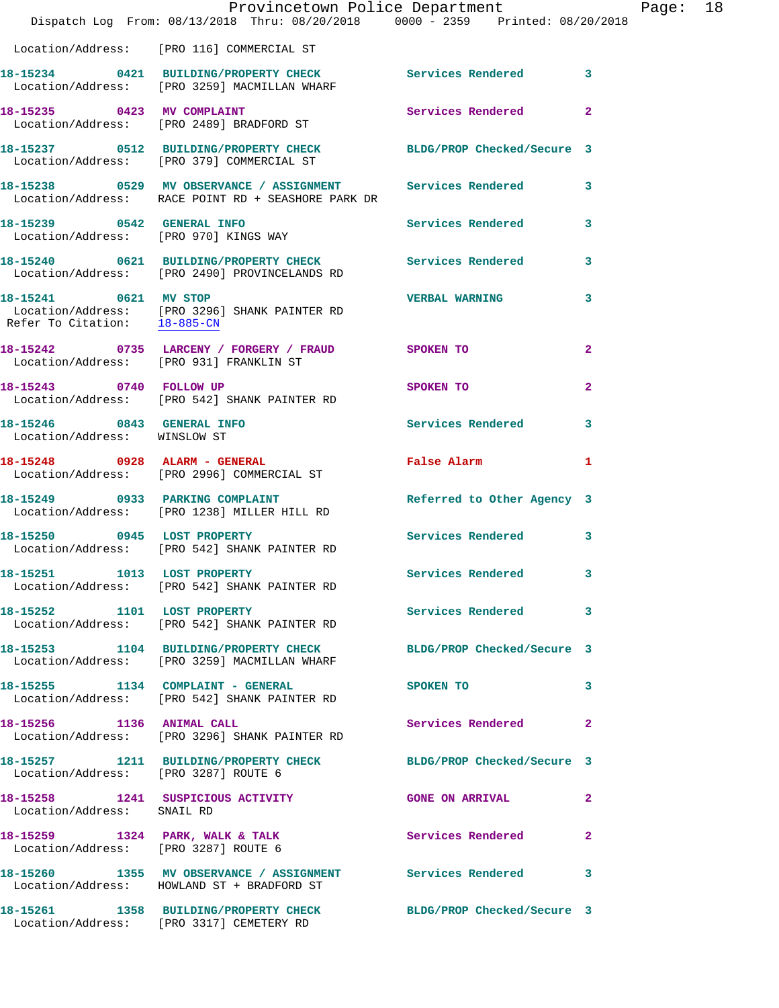|                                                       | Provincetown Police Department The Rage: 18<br>Dispatch Log From: 08/13/2018 Thru: 08/20/2018 0000 - 2359 Printed: 08/20/2018      |                            |              |  |
|-------------------------------------------------------|------------------------------------------------------------------------------------------------------------------------------------|----------------------------|--------------|--|
|                                                       | Location/Address: [PRO 116] COMMERCIAL ST                                                                                          |                            |              |  |
|                                                       | 18-15234 0421 BUILDING/PROPERTY CHECK Services Rendered 3<br>Location/Address: [PRO 3259] MACMILLAN WHARF                          |                            |              |  |
|                                                       | 18-15235 0423 MV COMPLAINT<br>Location/Address: [PRO 2489] BRADFORD ST                                                             | Services Rendered 2        |              |  |
|                                                       | 18-15237 0512 BUILDING/PROPERTY CHECK BLDG/PROP Checked/Secure 3<br>Location/Address: [PRO 379] COMMERCIAL ST                      |                            |              |  |
|                                                       | 18-15238     0529 MV OBSERVANCE / ASSIGNMENT      Services Rendered      3<br>Location/Address:   RACE POINT RD + SEASHORE PARK DR |                            |              |  |
|                                                       |                                                                                                                                    |                            |              |  |
|                                                       | 18-15240 0621 BUILDING/PROPERTY CHECK Services Rendered 3<br>Location/Address: [PRO 2490] PROVINCELANDS RD                         |                            |              |  |
| 18-15241 0621 MV STOP<br>Refer To Citation: 18-885-CN | Location/Address: [PRO 3296] SHANK PAINTER RD                                                                                      | <b>VERBAL WARNING</b>      | $\mathbf{3}$ |  |
|                                                       | 18-15242 0735 LARCENY / FORGERY / FRAUD SPOKEN TO<br>Location/Address: [PRO 931] FRANKLIN ST                                       |                            | $\mathbf{2}$ |  |
|                                                       | 18-15243 0740 FOLLOW UP<br>Location/Address: [PRO 542] SHANK PAINTER RD                                                            | SPOKEN TO                  | $\mathbf{2}$ |  |
| Location/Address: WINSLOW ST                          | 18-15246 0843 GENERAL INFO                                                                                                         | Services Rendered 3        |              |  |
|                                                       | 18-15248      0928   ALARM - GENERAL<br>Location/Address:   [PRO 2996] COMMERCIAL ST                                               | False Alarm 1              |              |  |
|                                                       | 18-15249 0933 PARKING COMPLAINT<br>Location/Address: [PRO 1238] MILLER HILL RD                                                     | Referred to Other Agency 3 |              |  |
|                                                       | 18-15250 0945 LOST PROPERTY<br>Location/Address: [PRO 542] SHANK PAINTER RD                                                        | Services Rendered 3        |              |  |
| 18-15251 1013 LOST PROPERTY                           | Location/Address: [PRO 542] SHANK PAINTER RD                                                                                       | Services Rendered          |              |  |
|                                                       | 18-15252 1101 LOST PROPERTY<br>Location/Address: [PRO 542] SHANK PAINTER RD                                                        | Services Rendered 3        |              |  |
|                                                       | 18-15253 1104 BUILDING/PROPERTY CHECK BLDG/PROP Checked/Secure 3<br>Location/Address: [PRO 3259] MACMILLAN WHARF                   |                            |              |  |
|                                                       | 18-15255 1134 COMPLAINT - GENERAL<br>Location/Address: [PRO 542] SHANK PAINTER RD                                                  | <b>SPOKEN TO</b>           | 3            |  |
| 18-15256 1136 ANIMAL CALL                             | Location/Address: [PRO 3296] SHANK PAINTER RD                                                                                      | Services Rendered 2        |              |  |
| Location/Address: [PRO 3287] ROUTE 6                  | 18-15257 1211 BUILDING/PROPERTY CHECK BLDG/PROP Checked/Secure 3                                                                   |                            |              |  |
| Location/Address: SNAIL RD                            | 18-15258 1241 SUSPICIOUS ACTIVITY  GONE ON ARRIVAL 2                                                                               |                            |              |  |
| Location/Address: [PRO 3287] ROUTE 6                  | 18-15259 1324 PARK, WALK & TALK 1998 Services Rendered                                                                             |                            | $\mathbf{2}$ |  |
|                                                       | 18-15260 1355 MV OBSERVANCE / ASSIGNMENT Services Rendered 3<br>Location/Address: HOWLAND ST + BRADFORD ST                         |                            |              |  |
|                                                       | 18-15261 1358 BUILDING/PROPERTY CHECK BLDG/PROP Checked/Secure 3<br>Location/Address: [PRO 3317] CEMETERY RD                       |                            |              |  |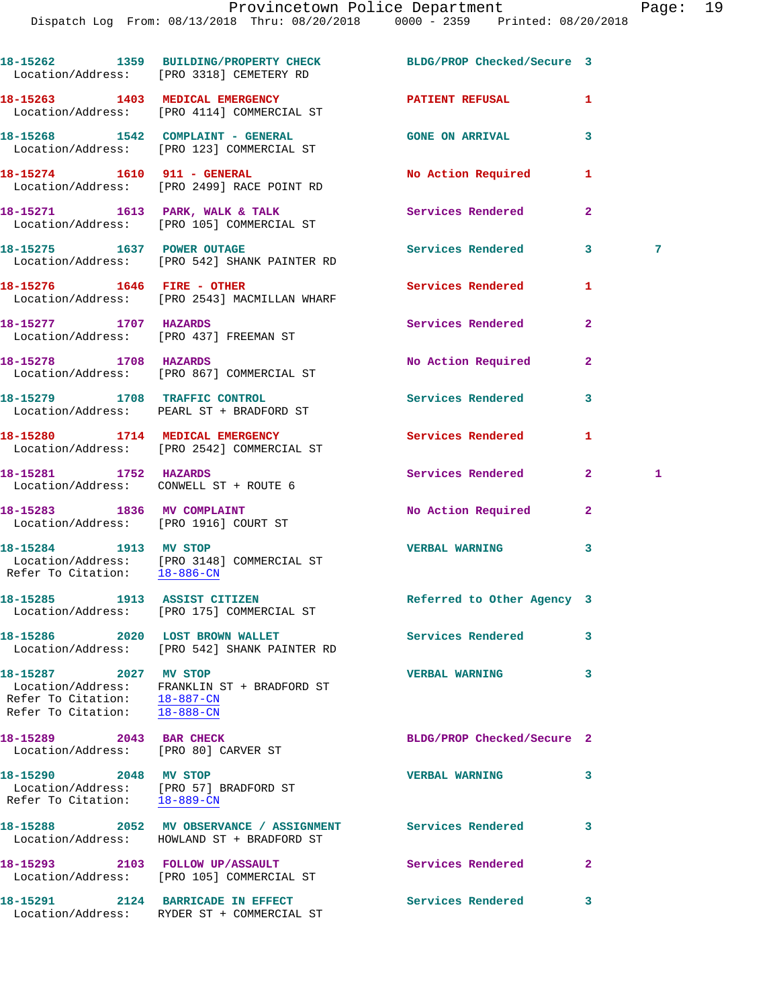|                                                                                                 | 18-15262 1359 BUILDING/PROPERTY CHECK<br>Location/Address: [PRO 3318] CEMETERY RD                        | BLDG/PROP Checked/Secure 3 |              |   |
|-------------------------------------------------------------------------------------------------|----------------------------------------------------------------------------------------------------------|----------------------------|--------------|---|
|                                                                                                 | 18-15263 1403 MEDICAL EMERGENCY<br>Location/Address: [PRO 4114] COMMERCIAL ST                            | <b>PATIENT REFUSAL</b>     | 1            |   |
|                                                                                                 | 18-15268 1542 COMPLAINT - GENERAL<br>Location/Address: [PRO 123] COMMERCIAL ST                           | <b>GONE ON ARRIVAL</b>     | 3            |   |
|                                                                                                 | 18-15274    1610    911 - GENERAL<br>Location/Address: [PRO 2499] RACE POINT RD                          | No Action Required         | 1            |   |
|                                                                                                 | 18-15271 1613 PARK, WALK & TALK<br>Location/Address: [PRO 105] COMMERCIAL ST                             | Services Rendered          | $\mathbf{2}$ |   |
| 18-15275 1637 POWER OUTAGE                                                                      | Location/Address: [PRO 542] SHANK PAINTER RD                                                             | Services Rendered          | 3            | 7 |
| 18-15276    1646    FIRE - OTHER                                                                | Location/Address: [PRO 2543] MACMILLAN WHARF                                                             | Services Rendered          | 1            |   |
| 18-15277 1707 HAZARDS                                                                           | Location/Address: [PRO 437] FREEMAN ST                                                                   | Services Rendered          | $\mathbf{2}$ |   |
| 18-15278 1708 HAZARDS                                                                           | Location/Address: [PRO 867] COMMERCIAL ST                                                                | No Action Required         | $\mathbf{2}$ |   |
|                                                                                                 | 18-15279 1708 TRAFFIC CONTROL<br>Location/Address: PEARL ST + BRADFORD ST                                | <b>Services Rendered</b>   | 3            |   |
|                                                                                                 | 18-15280 1714 MEDICAL EMERGENCY<br>Location/Address: [PRO 2542] COMMERCIAL ST                            | Services Rendered          | 1            |   |
| 18-15281 1752 HAZARDS<br>Location/Address: CONWELL ST + ROUTE 6                                 |                                                                                                          | Services Rendered          | $\mathbf{2}$ | 1 |
| 18-15283 1836 MV COMPLAINT<br>Location/Address: [PRO 1916] COURT ST                             |                                                                                                          | No Action Required         | $\mathbf{2}$ |   |
| 18-15284 1913 MV STOP                                                                           | Location/Address: [PRO 3148] COMMERCIAL ST<br>Refer To Citation: 18-886-CN                               | <b>VERBAL WARNING</b>      | 3            |   |
| 18-15285 1913 ASSIST CITIZEN                                                                    | Location/Address: [PRO 175] COMMERCIAL ST                                                                | Referred to Other Agency 3 |              |   |
|                                                                                                 | Location/Address: [PRO 542] SHANK PAINTER RD                                                             | <b>Services Rendered</b>   | 3            |   |
| 18-15287 2027 MV STOP<br>Refer To Citation: $\frac{18-887-CN}{18-888-CN}$                       | Location/Address: FRANKLIN ST + BRADFORD ST                                                              | <b>VERBAL WARNING</b>      | 3            |   |
| 18-15289 2043 BAR CHECK<br>Location/Address: [PRO 80] CARVER ST                                 |                                                                                                          | BLDG/PROP Checked/Secure 2 |              |   |
| 18-15290 2048 MV STOP<br>Location/Address: [PRO 57] BRADFORD ST<br>Refer To Citation: 18-889-CN |                                                                                                          | <b>VERBAL WARNING</b>      | 3            |   |
|                                                                                                 | 18-15288 2052 MV OBSERVANCE / ASSIGNMENT Services Rendered<br>Location/Address: HOWLAND ST + BRADFORD ST |                            | 3            |   |
|                                                                                                 | 18-15293 2103 FOLLOW UP/ASSAULT<br>Location/Address: [PRO 105] COMMERCIAL ST                             | <b>Services Rendered</b>   | $\mathbf{2}$ |   |
|                                                                                                 | 18-15291 2124 BARRICADE IN EFFECT<br>Location/Address: RYDER ST + COMMERCIAL ST                          | Services Rendered          | 3            |   |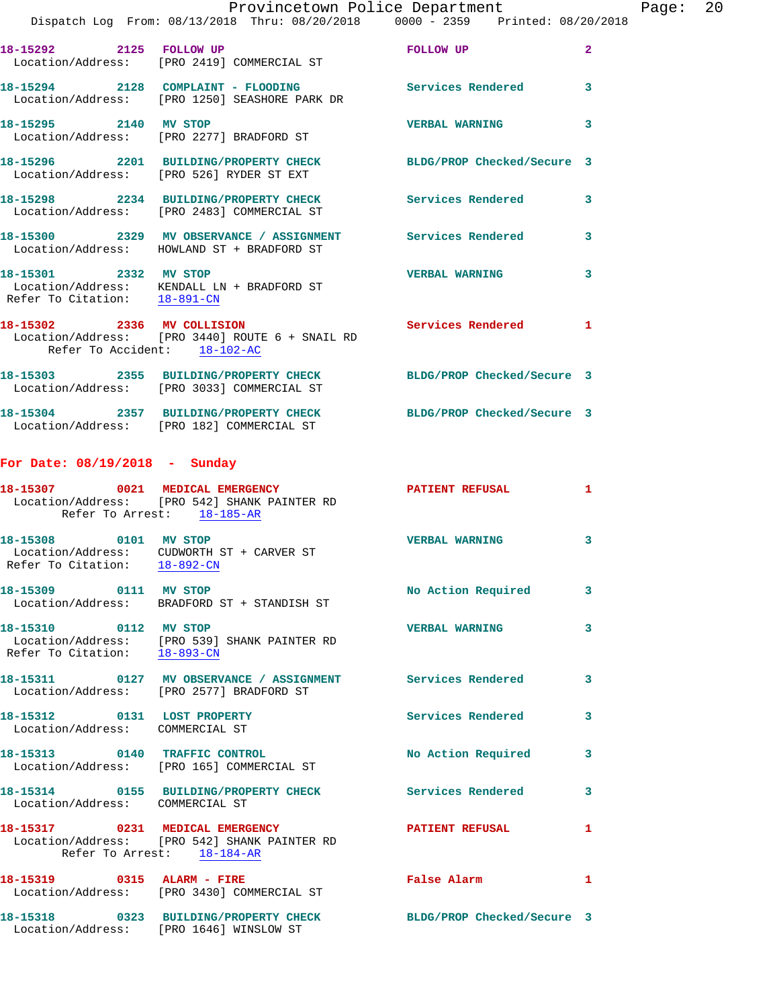|                                                            | Dispatch Log From: 08/13/2018 Thru: 08/20/2018 0000 - 2359 Printed: 08/20/2018                                 | Provincetown Police Department |                         | Page: 20 |  |
|------------------------------------------------------------|----------------------------------------------------------------------------------------------------------------|--------------------------------|-------------------------|----------|--|
| 18-15292 2125 FOLLOW UP                                    | Location/Address: [PRO 2419] COMMERCIAL ST                                                                     | <b>EQUIPMENT CONTRACTS</b>     | $\overline{2}$          |          |  |
|                                                            | 18-15294 2128 COMPLAINT - FLOODING Services Rendered<br>Location/Address: [PRO 1250] SEASHORE PARK DR          |                                | $\overline{\mathbf{3}}$ |          |  |
| 18-15295 2140 MV STOP                                      | Location/Address: [PRO 2277] BRADFORD ST                                                                       | <b>VERBAL WARNING</b>          | $\overline{\mathbf{3}}$ |          |  |
|                                                            | 18-15296 2201 BUILDING/PROPERTY CHECK BLDG/PROP Checked/Secure 3<br>Location/Address: [PRO 526] RYDER ST EXT   |                                |                         |          |  |
|                                                            | 18-15298 2234 BUILDING/PROPERTY CHECK Services Rendered 3<br>Location/Address: [PRO 2483] COMMERCIAL ST        |                                |                         |          |  |
|                                                            | 18-15300 2329 MV OBSERVANCE / ASSIGNMENT Services Rendered<br>Location/Address: HOWLAND ST + BRADFORD ST       |                                | 3                       |          |  |
| Refer To Citation: 18-891-CN                               | 18-15301 2332 MV STOP<br>Location/Address: KENDALL LN + BRADFORD ST                                            | <b>VERBAL WARNING</b>          | -3                      |          |  |
| 18-15302 2336 MV COLLISION<br>Refer To Accident: 18-102-AC | Location/Address: [PRO 3440] ROUTE 6 + SNAIL RD                                                                | Services Rendered 1            |                         |          |  |
|                                                            | 18-15303 2355 BUILDING/PROPERTY CHECK BLDG/PROP Checked/Secure 3<br>Location/Address: [PRO 3033] COMMERCIAL ST |                                |                         |          |  |

**18-15304 2357 BUILDING/PROPERTY CHECK BLDG/PROP Checked/Secure 3**  Location/Address: [PRO 182] COMMERCIAL ST

## **For Date: 08/19/2018 - Sunday**

|                                                                | 18-15307 0021 MEDICAL EMERGENCY<br>Location/Address: [PRO 542] SHANK PAINTER RD<br>Refer To Arrest: 18-185-AR | <b>PATIENT REFUSAL</b>     | $\mathbf{1}$            |
|----------------------------------------------------------------|---------------------------------------------------------------------------------------------------------------|----------------------------|-------------------------|
| 18-15308 0101 MV STOP                                          | Location/Address: CUDWORTH ST + CARVER ST<br>Refer To Citation: 18-892-CN                                     | <b>VERBAL WARNING</b>      | $\overline{\mathbf{3}}$ |
|                                                                | 18-15309 0111 MV STOP<br>Location/Address: BRADFORD ST + STANDISH ST                                          | No Action Required         | $\overline{\mathbf{3}}$ |
| 18-15310 0112 MV STOP<br>Refer To Citation: 18-893-CN          | Location/Address: [PRO 539] SHANK PAINTER RD                                                                  | <b>VERBAL WARNING</b>      | $\overline{\mathbf{3}}$ |
|                                                                | 18-15311 0127 MV OBSERVANCE / ASSIGNMENT Services Rendered<br>Location/Address: [PRO 2577] BRADFORD ST        |                            | $\overline{\mathbf{3}}$ |
| 18-15312 0131 LOST PROPERTY<br>Location/Address: COMMERCIAL ST |                                                                                                               | Services Rendered          | $\mathbf{3}$            |
|                                                                | 18-15313 0140 TRAFFIC CONTROL<br>Location/Address: [PRO 165] COMMERCIAL ST                                    | No Action Required         | $\mathbf{3}$            |
| Location/Address: COMMERCIAL ST                                | 18-15314 0155 BUILDING/PROPERTY CHECK                                                                         | Services Rendered          | $\mathbf{3}$            |
|                                                                | 18-15317 0231 MEDICAL EMERGENCY<br>Location/Address: [PRO 542] SHANK PAINTER RD<br>Refer To Arrest: 18-184-AR | <b>PATIENT REFUSAL</b>     | $\mathbf{1}$            |
| 18-15319 0315 ALARM - FIRE                                     | Location/Address: [PRO 3430] COMMERCIAL ST                                                                    | False Alarm                | $\mathbf{1}$            |
|                                                                | 18-15318 0323 BUILDING/PROPERTY CHECK<br>Location/Address: [PRO 1646] WINSLOW ST                              | BLDG/PROP Checked/Secure 3 |                         |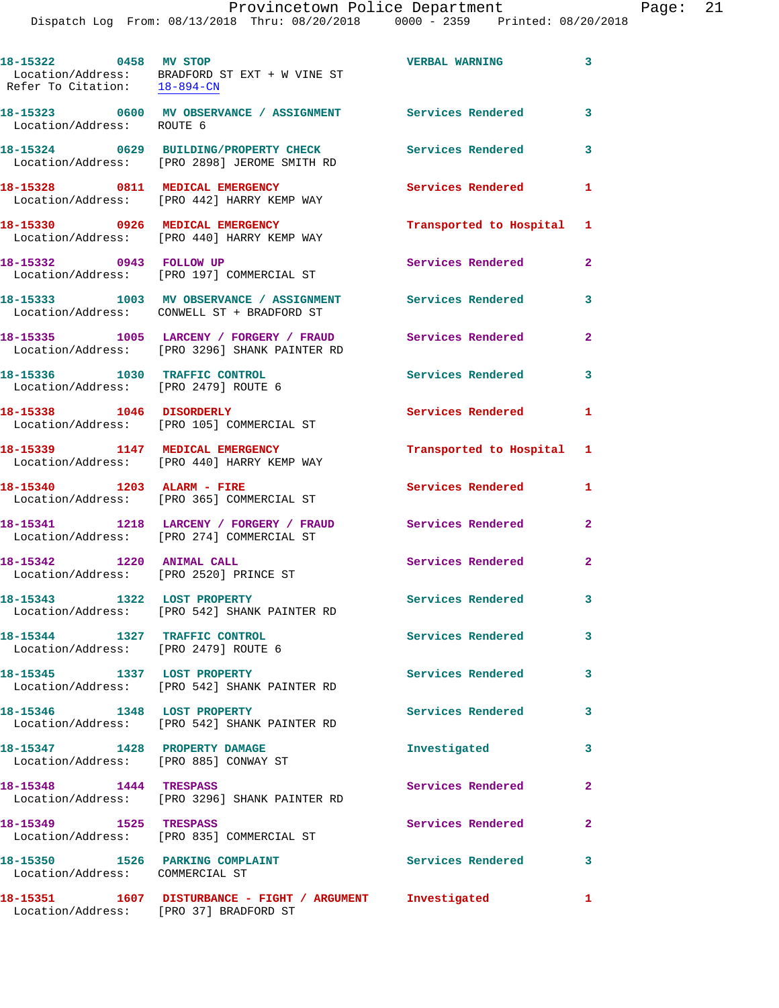|                                                                       | Dispatch Log From: 08/13/2018 Thru: 08/20/2018 0000 - 2359 Printed: 08/20/2018                             | Provincetown Police Department |              | Page: | 21 |
|-----------------------------------------------------------------------|------------------------------------------------------------------------------------------------------------|--------------------------------|--------------|-------|----|
| 18-15322 0458 MV STOP<br>Refer To Citation: 18-894-CN                 | Location/Address: BRADFORD ST EXT + W VINE ST                                                              | VERBAL WARNING 3               |              |       |    |
| Location/Address: ROUTE 6                                             | 18-15323 0600 MV OBSERVANCE / ASSIGNMENT Services Rendered                                                 |                                | $\mathbf{3}$ |       |    |
|                                                                       | 18-15324 0629 BUILDING/PROPERTY CHECK Services Rendered 3<br>Location/Address: [PRO 2898] JEROME SMITH RD  |                                |              |       |    |
|                                                                       | 18-15328 0811 MEDICAL EMERGENCY<br>Location/Address: [PRO 442] HARRY KEMP WAY                              | Services Rendered              | 1            |       |    |
|                                                                       | 18-15330 0926 MEDICAL EMERGENCY<br>Location/Address: [PRO 440] HARRY KEMP WAY                              | Transported to Hospital 1      |              |       |    |
|                                                                       | 18-15332 0943 FOLLOW UP<br>Location/Address: [PRO 197] COMMERCIAL ST                                       | Services Rendered              | $\mathbf{2}$ |       |    |
|                                                                       | 18-15333 1003 MV OBSERVANCE / ASSIGNMENT Services Rendered<br>Location/Address: CONWELL ST + BRADFORD ST   |                                | 3            |       |    |
|                                                                       | 18-15335 1005 LARCENY / FORGERY / FRAUD Services Rendered<br>Location/Address: [PRO 3296] SHANK PAINTER RD |                                | $\mathbf{2}$ |       |    |
| 18-15336 1030 TRAFFIC CONTROL<br>Location/Address: [PRO 2479] ROUTE 6 |                                                                                                            | Services Rendered              | $\mathbf{3}$ |       |    |
|                                                                       | 18-15338 1046 DISORDERLY<br>Location/Address: [PRO 105] COMMERCIAL ST                                      | Services Rendered 1            |              |       |    |
|                                                                       | 18-15339 1147 MEDICAL EMERGENCY<br>Location/Address: [PRO 440] HARRY KEMP WAY                              | Transported to Hospital 1      |              |       |    |
|                                                                       | 18-15340 1203 ALARM - FIRE<br>Location/Address: [PRO 365] COMMERCIAL ST                                    | Services Rendered 1            |              |       |    |
|                                                                       | 18-15341 1218 LARCENY / FORGERY / FRAUD Services Rendered<br>Location/Address: [PRO 274] COMMERCIAL ST     |                                | $\mathbf{2}$ |       |    |
| 18-15342 1220 ANIMAL CALL                                             | Location/Address: [PRO 2520] PRINCE ST                                                                     | Services Rendered 2            |              |       |    |
|                                                                       | 18-15343 1322 LOST PROPERTY<br>Location/Address: [PRO 542] SHANK PAINTER RD                                | Services Rendered 3            |              |       |    |
| 18-15344 1327 TRAFFIC CONTROL<br>Location/Address: [PRO 2479] ROUTE 6 |                                                                                                            | Services Rendered 3            |              |       |    |
|                                                                       | 18-15345 1337 LOST PROPERTY<br>Location/Address: [PRO 542] SHANK PAINTER RD                                | <b>Services Rendered</b>       | 3            |       |    |
|                                                                       | 18-15346 1348 LOST PROPERTY<br>Location/Address: [PRO 542] SHANK PAINTER RD                                | Services Rendered              | 3            |       |    |
| 18-15347 1428 PROPERTY DAMAGE                                         | Location/Address: [PRO 885] CONWAY ST                                                                      | Investigated                   | 3            |       |    |
| 18-15348 1444 TRESPASS                                                | Location/Address: [PRO 3296] SHANK PAINTER RD                                                              | Services Rendered 2            |              |       |    |
|                                                                       | 18-15349 1525 TRESPASS<br>Location/Address: [PRO 835] COMMERCIAL ST                                        | Services Rendered              | $\mathbf{2}$ |       |    |
| Location/Address: COMMERCIAL ST                                       | 18-15350 1526 PARKING COMPLAINT Services Rendered 3                                                        |                                |              |       |    |
|                                                                       | 18-15351 1607 DISTURBANCE - FIGHT / ARGUMENT<br>Location/Address: [PRO 37] BRADFORD ST                     | Investigated                   | 1            |       |    |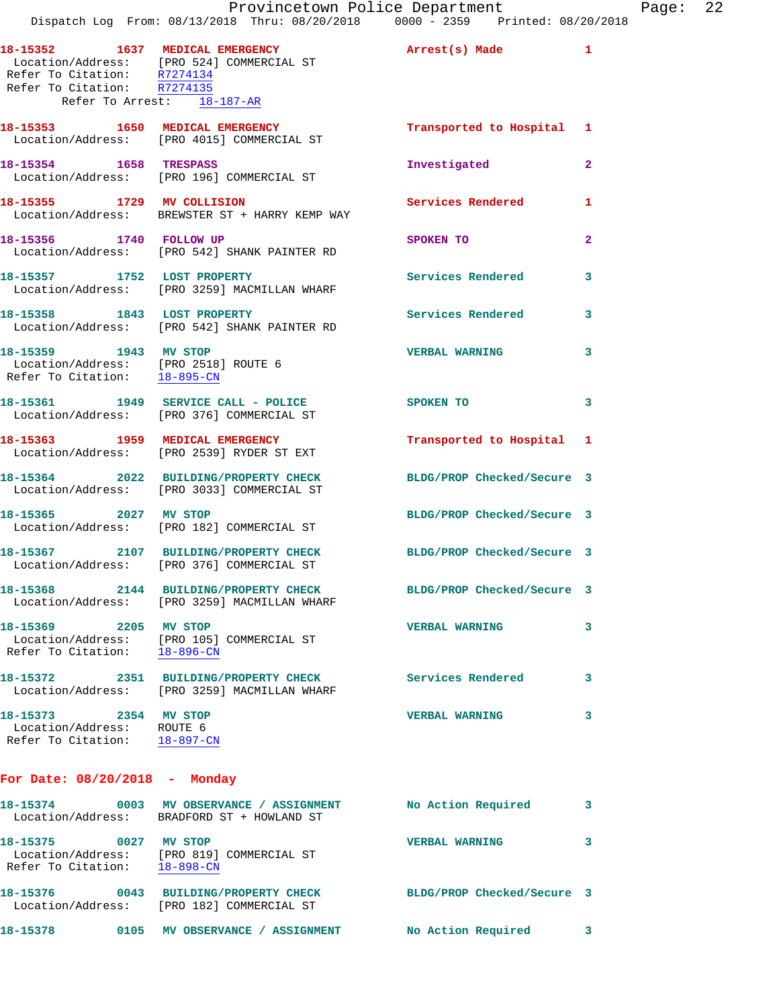|                                                                                               | Dispatch Log From: 08/13/2018 Thru: 08/20/2018 0000 - 2359 Printed: 08/20/2018                                               | Provincetown Police Department |              | Page: 22 |  |
|-----------------------------------------------------------------------------------------------|------------------------------------------------------------------------------------------------------------------------------|--------------------------------|--------------|----------|--|
| Refer To Citation: R7274135<br>Refer To Arrest: 18-187-AR                                     | 18-15352 1637 MEDICAL EMERGENCY Arrest(s) Made 1<br>Location/Address: [PRO 524] COMMERCIAL ST<br>Refer To Citation: R7274134 |                                |              |          |  |
|                                                                                               | 18-15353 1650 MEDICAL EMERGENCY<br>Location/Address: [PRO 4015] COMMERCIAL ST                                                | Transported to Hospital 1      |              |          |  |
| 18-15354 1658 TRESPASS                                                                        | Location/Address: [PRO 196] COMMERCIAL ST                                                                                    | Investigated                   | $\mathbf{2}$ |          |  |
|                                                                                               | 18-15355 1729 MV COLLISION<br>Location/Address: BREWSTER ST + HARRY KEMP WAY                                                 | Services Rendered              | $\mathbf{1}$ |          |  |
| 18-15356 1740 FOLLOW UP                                                                       | Location/Address: [PRO 542] SHANK PAINTER RD                                                                                 | SPOKEN TO                      | $\mathbf{2}$ |          |  |
|                                                                                               | 18-15357 1752 LOST PROPERTY<br>Location/Address: [PRO 3259] MACMILLAN WHARF                                                  | Services Rendered              | 3            |          |  |
|                                                                                               | 18-15358 1843 LOST PROPERTY<br>Location/Address: [PRO 542] SHANK PAINTER RD                                                  | Services Rendered              | 3            |          |  |
| 18-15359 1943 MV STOP<br>Location/Address: [PRO 2518] ROUTE 6<br>Refer To Citation: 18-895-CN |                                                                                                                              | <b>VERBAL WARNING</b>          | 3            |          |  |
|                                                                                               | 18-15361 1949 SERVICE CALL - POLICE SPOKEN TO<br>Location/Address: [PRO 376] COMMERCIAL ST                                   |                                | 3            |          |  |
|                                                                                               | 18-15363 1959 MEDICAL EMERGENCY<br>Location/Address: [PRO 2539] RYDER ST EXT                                                 | Transported to Hospital 1      |              |          |  |
|                                                                                               | 18-15364 2022 BUILDING/PROPERTY CHECK<br>Location/Address: [PRO 3033] COMMERCIAL ST                                          | BLDG/PROP Checked/Secure 3     |              |          |  |
| 18-15365 2027 MV STOP                                                                         | Location/Address: [PRO 182] COMMERCIAL ST                                                                                    | BLDG/PROP Checked/Secure 3     |              |          |  |
|                                                                                               | 18-15367 2107 BUILDING/PROPERTY CHECK BLDG/PROP Checked/Secure 3<br>Location/Address: [PRO 376] COMMERCIAL ST                |                                |              |          |  |
|                                                                                               | 18-15368 2144 BUILDING/PROPERTY CHECK<br>Location/Address: [PRO 3259] MACMILLAN WHARF                                        | BLDG/PROP Checked/Secure 3     |              |          |  |
| 18-15369 2205 MV STOP<br>Refer To Citation: 18-896-CN                                         | Location/Address: [PRO 105] COMMERCIAL ST                                                                                    | <b>VERBAL WARNING</b>          | 3            |          |  |
|                                                                                               | 18-15372 2351 BUILDING/PROPERTY CHECK Services Rendered 3<br>Location/Address: [PRO 3259] MACMILLAN WHARF                    |                                |              |          |  |
| 18-15373 2354 MV STOP<br>Location/Address: ROUTE 6<br>Refer To Citation: 18-897-CN            |                                                                                                                              | <b>VERBAL WARNING</b>          | 3            |          |  |
| For Date: $08/20/2018$ - Monday                                                               |                                                                                                                              |                                |              |          |  |
|                                                                                               | 18-15374 0003 MV OBSERVANCE / ASSIGNMENT<br>Location/Address: BRADFORD ST + HOWLAND ST                                       | No Action Required             | 3            |          |  |
| 18-15375 0027 MV STOP<br>Refer To Citation: 18-898-CN                                         | Location/Address: [PRO 819] COMMERCIAL ST                                                                                    | <b>VERBAL WARNING</b>          | 3            |          |  |
|                                                                                               | 18-15376 0043 BUILDING/PROPERTY CHECK<br>Location/Address: [PRO 182] COMMERCIAL ST                                           | BLDG/PROP Checked/Secure 3     |              |          |  |

**18-15378 0105 MV OBSERVANCE / ASSIGNMENT No Action Required 3**